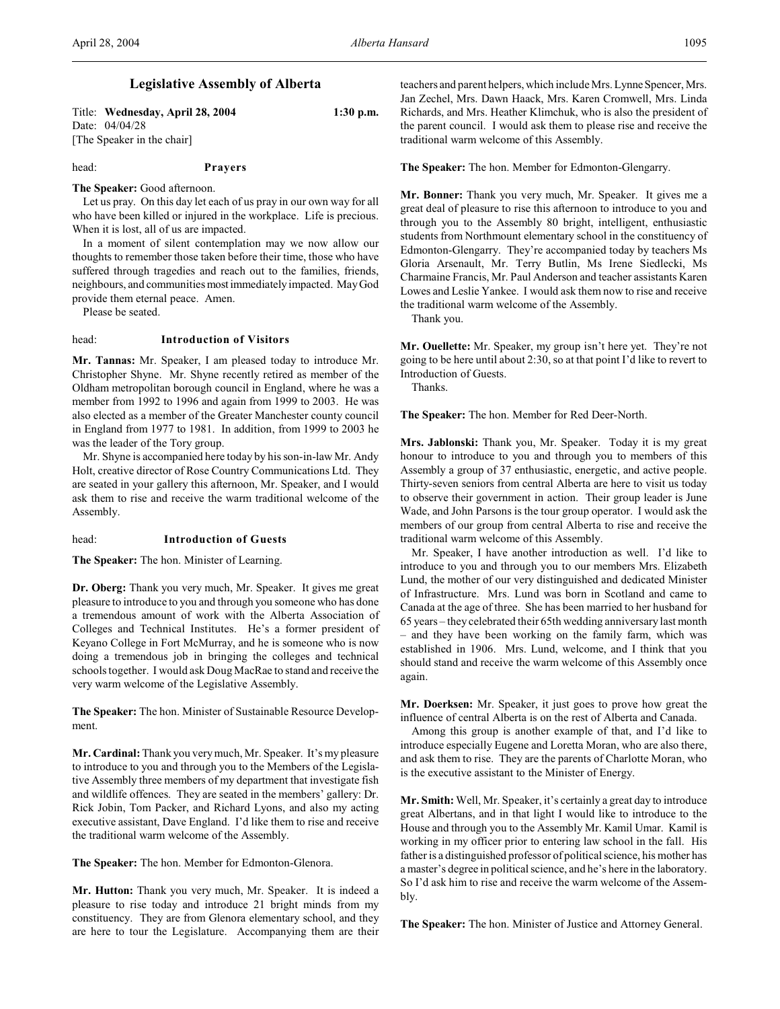## **Legislative Assembly of Alberta**

Title: **Wednesday, April 28, 2004 1:30 p.m.** Date: 04/04/28 [The Speaker in the chair]

head: **Prayers**

**The Speaker:** Good afternoon.

Let us pray. On this day let each of us pray in our own way for all who have been killed or injured in the workplace. Life is precious. When it is lost, all of us are impacted.

In a moment of silent contemplation may we now allow our thoughts to remember those taken before their time, those who have suffered through tragedies and reach out to the families, friends, neighbours, and communities most immediately impacted. May God provide them eternal peace. Amen.

Please be seated.

#### head: **Introduction of Visitors**

**Mr. Tannas:** Mr. Speaker, I am pleased today to introduce Mr. Christopher Shyne. Mr. Shyne recently retired as member of the Oldham metropolitan borough council in England, where he was a member from 1992 to 1996 and again from 1999 to 2003. He was also elected as a member of the Greater Manchester county council in England from 1977 to 1981. In addition, from 1999 to 2003 he was the leader of the Tory group.

Mr. Shyne is accompanied here today by his son-in-law Mr. Andy Holt, creative director of Rose Country Communications Ltd. They are seated in your gallery this afternoon, Mr. Speaker, and I would ask them to rise and receive the warm traditional welcome of the Assembly.

## head: **Introduction of Guests**

**The Speaker:** The hon. Minister of Learning.

**Dr. Oberg:** Thank you very much, Mr. Speaker. It gives me great pleasure to introduce to you and through you someone who has done a tremendous amount of work with the Alberta Association of Colleges and Technical Institutes. He's a former president of Keyano College in Fort McMurray, and he is someone who is now doing a tremendous job in bringing the colleges and technical schools together. I would ask Doug MacRae to stand and receive the very warm welcome of the Legislative Assembly.

**The Speaker:** The hon. Minister of Sustainable Resource Development.

**Mr. Cardinal:** Thank you very much, Mr. Speaker. It's my pleasure to introduce to you and through you to the Members of the Legislative Assembly three members of my department that investigate fish and wildlife offences. They are seated in the members' gallery: Dr. Rick Jobin, Tom Packer, and Richard Lyons, and also my acting executive assistant, Dave England. I'd like them to rise and receive the traditional warm welcome of the Assembly.

**The Speaker:** The hon. Member for Edmonton-Glenora.

**Mr. Hutton:** Thank you very much, Mr. Speaker. It is indeed a pleasure to rise today and introduce 21 bright minds from my constituency. They are from Glenora elementary school, and they are here to tour the Legislature. Accompanying them are their

teachers and parent helpers, which include Mrs. Lynne Spencer, Mrs. Jan Zechel, Mrs. Dawn Haack, Mrs. Karen Cromwell, Mrs. Linda Richards, and Mrs. Heather Klimchuk, who is also the president of the parent council. I would ask them to please rise and receive the traditional warm welcome of this Assembly.

**The Speaker:** The hon. Member for Edmonton-Glengarry.

**Mr. Bonner:** Thank you very much, Mr. Speaker. It gives me a great deal of pleasure to rise this afternoon to introduce to you and through you to the Assembly 80 bright, intelligent, enthusiastic students from Northmount elementary school in the constituency of Edmonton-Glengarry. They're accompanied today by teachers Ms Gloria Arsenault, Mr. Terry Butlin, Ms Irene Siedlecki, Ms Charmaine Francis, Mr. Paul Anderson and teacher assistants Karen Lowes and Leslie Yankee. I would ask them now to rise and receive the traditional warm welcome of the Assembly.

Thank you.

**Mr. Ouellette:** Mr. Speaker, my group isn't here yet. They're not going to be here until about 2:30, so at that point I'd like to revert to Introduction of Guests.

Thanks.

**The Speaker:** The hon. Member for Red Deer-North.

**Mrs. Jablonski:** Thank you, Mr. Speaker. Today it is my great honour to introduce to you and through you to members of this Assembly a group of 37 enthusiastic, energetic, and active people. Thirty-seven seniors from central Alberta are here to visit us today to observe their government in action. Their group leader is June Wade, and John Parsons is the tour group operator. I would ask the members of our group from central Alberta to rise and receive the traditional warm welcome of this Assembly.

Mr. Speaker, I have another introduction as well. I'd like to introduce to you and through you to our members Mrs. Elizabeth Lund, the mother of our very distinguished and dedicated Minister of Infrastructure. Mrs. Lund was born in Scotland and came to Canada at the age of three. She has been married to her husband for 65 years – they celebrated their 65th wedding anniversary last month – and they have been working on the family farm, which was established in 1906. Mrs. Lund, welcome, and I think that you should stand and receive the warm welcome of this Assembly once again.

**Mr. Doerksen:** Mr. Speaker, it just goes to prove how great the influence of central Alberta is on the rest of Alberta and Canada.

Among this group is another example of that, and I'd like to introduce especially Eugene and Loretta Moran, who are also there, and ask them to rise. They are the parents of Charlotte Moran, who is the executive assistant to the Minister of Energy.

**Mr. Smith:** Well, Mr. Speaker, it's certainly a great day to introduce great Albertans, and in that light I would like to introduce to the House and through you to the Assembly Mr. Kamil Umar. Kamil is working in my officer prior to entering law school in the fall. His father is a distinguished professor of political science, his mother has a master's degree in political science, and he's here in the laboratory. So I'd ask him to rise and receive the warm welcome of the Assembly.

**The Speaker:** The hon. Minister of Justice and Attorney General.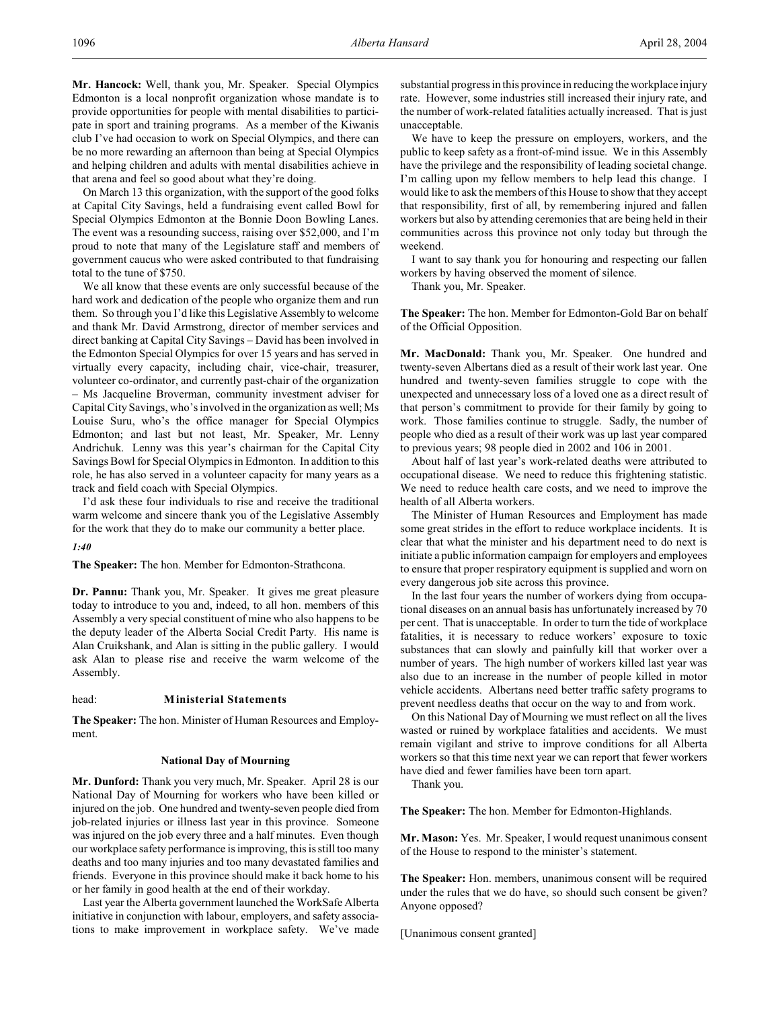**Mr. Hancock:** Well, thank you, Mr. Speaker. Special Olympics Edmonton is a local nonprofit organization whose mandate is to provide opportunities for people with mental disabilities to participate in sport and training programs. As a member of the Kiwanis club I've had occasion to work on Special Olympics, and there can be no more rewarding an afternoon than being at Special Olympics and helping children and adults with mental disabilities achieve in that arena and feel so good about what they're doing.

On March 13 this organization, with the support of the good folks at Capital City Savings, held a fundraising event called Bowl for Special Olympics Edmonton at the Bonnie Doon Bowling Lanes. The event was a resounding success, raising over \$52,000, and I'm proud to note that many of the Legislature staff and members of government caucus who were asked contributed to that fundraising total to the tune of \$750.

We all know that these events are only successful because of the hard work and dedication of the people who organize them and run them. So through you I'd like this Legislative Assembly to welcome and thank Mr. David Armstrong, director of member services and direct banking at Capital City Savings – David has been involved in the Edmonton Special Olympics for over 15 years and has served in virtually every capacity, including chair, vice-chair, treasurer, volunteer co-ordinator, and currently past-chair of the organization – Ms Jacqueline Broverman, community investment adviser for Capital City Savings, who'sinvolved in the organization as well; Ms Louise Suru, who's the office manager for Special Olympics Edmonton; and last but not least, Mr. Speaker, Mr. Lenny Andrichuk. Lenny was this year's chairman for the Capital City Savings Bowl for Special Olympics in Edmonton. In addition to this role, he has also served in a volunteer capacity for many years as a track and field coach with Special Olympics.

I'd ask these four individuals to rise and receive the traditional warm welcome and sincere thank you of the Legislative Assembly for the work that they do to make our community a better place.

*1:40*

**The Speaker:** The hon. Member for Edmonton-Strathcona.

**Dr. Pannu:** Thank you, Mr. Speaker. It gives me great pleasure today to introduce to you and, indeed, to all hon. members of this Assembly a very special constituent of mine who also happens to be the deputy leader of the Alberta Social Credit Party. His name is Alan Cruikshank, and Alan is sitting in the public gallery. I would ask Alan to please rise and receive the warm welcome of the Assembly.

#### head: **Ministerial Statements**

**The Speaker:** The hon. Minister of Human Resources and Employment.

#### **National Day of Mourning**

**Mr. Dunford:** Thank you very much, Mr. Speaker. April 28 is our National Day of Mourning for workers who have been killed or injured on the job. One hundred and twenty-seven people died from job-related injuries or illness last year in this province. Someone was injured on the job every three and a half minutes. Even though our workplace safety performance is improving, this isstill too many deaths and too many injuries and too many devastated families and friends. Everyone in this province should make it back home to his or her family in good health at the end of their workday.

Last year the Alberta government launched the WorkSafe Alberta initiative in conjunction with labour, employers, and safety associations to make improvement in workplace safety. We've made

substantial progress in this province in reducing the workplace injury rate. However, some industries still increased their injury rate, and the number of work-related fatalities actually increased. That is just unacceptable.

We have to keep the pressure on employers, workers, and the public to keep safety as a front-of-mind issue. We in this Assembly have the privilege and the responsibility of leading societal change. I'm calling upon my fellow members to help lead this change. I would like to ask the members of this House to show that they accept that responsibility, first of all, by remembering injured and fallen workers but also by attending ceremonies that are being held in their communities across this province not only today but through the weekend.

I want to say thank you for honouring and respecting our fallen workers by having observed the moment of silence.

Thank you, Mr. Speaker.

**The Speaker:** The hon. Member for Edmonton-Gold Bar on behalf of the Official Opposition.

**Mr. MacDonald:** Thank you, Mr. Speaker. One hundred and twenty-seven Albertans died as a result of their work last year. One hundred and twenty-seven families struggle to cope with the unexpected and unnecessary loss of a loved one as a direct result of that person's commitment to provide for their family by going to work. Those families continue to struggle. Sadly, the number of people who died as a result of their work was up last year compared to previous years; 98 people died in 2002 and 106 in 2001.

About half of last year's work-related deaths were attributed to occupational disease. We need to reduce this frightening statistic. We need to reduce health care costs, and we need to improve the health of all Alberta workers.

The Minister of Human Resources and Employment has made some great strides in the effort to reduce workplace incidents. It is clear that what the minister and his department need to do next is initiate a public information campaign for employers and employees to ensure that proper respiratory equipment is supplied and worn on every dangerous job site across this province.

In the last four years the number of workers dying from occupational diseases on an annual basis has unfortunately increased by 70 per cent. That is unacceptable. In order to turn the tide of workplace fatalities, it is necessary to reduce workers' exposure to toxic substances that can slowly and painfully kill that worker over a number of years. The high number of workers killed last year was also due to an increase in the number of people killed in motor vehicle accidents. Albertans need better traffic safety programs to prevent needless deaths that occur on the way to and from work.

On this National Day of Mourning we must reflect on all the lives wasted or ruined by workplace fatalities and accidents. We must remain vigilant and strive to improve conditions for all Alberta workers so that this time next year we can report that fewer workers have died and fewer families have been torn apart.

Thank you.

**The Speaker:** The hon. Member for Edmonton-Highlands.

**Mr. Mason:** Yes. Mr. Speaker, I would request unanimous consent of the House to respond to the minister's statement.

**The Speaker:** Hon. members, unanimous consent will be required under the rules that we do have, so should such consent be given? Anyone opposed?

[Unanimous consent granted]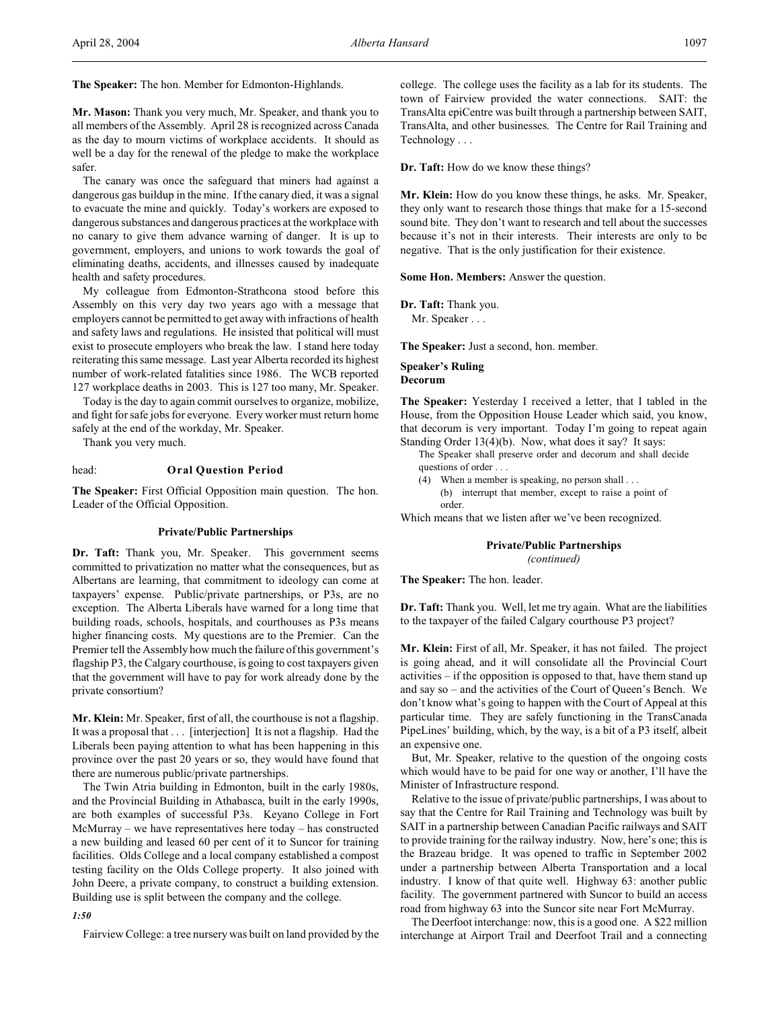**The Speaker:** The hon. Member for Edmonton-Highlands.

**Mr. Mason:** Thank you very much, Mr. Speaker, and thank you to all members of the Assembly. April 28 is recognized across Canada as the day to mourn victims of workplace accidents. It should as well be a day for the renewal of the pledge to make the workplace safer.

The canary was once the safeguard that miners had against a dangerous gas buildup in the mine. If the canary died, it was a signal to evacuate the mine and quickly. Today's workers are exposed to dangerous substances and dangerous practices at the workplace with no canary to give them advance warning of danger. It is up to government, employers, and unions to work towards the goal of eliminating deaths, accidents, and illnesses caused by inadequate health and safety procedures.

My colleague from Edmonton-Strathcona stood before this Assembly on this very day two years ago with a message that employers cannot be permitted to get away with infractions of health and safety laws and regulations. He insisted that political will must exist to prosecute employers who break the law. I stand here today reiterating this same message. Last year Alberta recorded its highest number of work-related fatalities since 1986. The WCB reported 127 workplace deaths in 2003. This is 127 too many, Mr. Speaker.

Today is the day to again commit ourselves to organize, mobilize, and fight for safe jobs for everyone. Every worker must return home safely at the end of the workday, Mr. Speaker.

Thank you very much.

## head: **Oral Question Period**

**The Speaker:** First Official Opposition main question. The hon. Leader of the Official Opposition.

## **Private/Public Partnerships**

**Dr. Taft:** Thank you, Mr. Speaker. This government seems committed to privatization no matter what the consequences, but as Albertans are learning, that commitment to ideology can come at taxpayers' expense. Public/private partnerships, or P3s, are no exception. The Alberta Liberals have warned for a long time that building roads, schools, hospitals, and courthouses as P3s means higher financing costs. My questions are to the Premier. Can the Premier tell the Assembly how much the failure of this government's flagship P3, the Calgary courthouse, is going to cost taxpayers given that the government will have to pay for work already done by the private consortium?

**Mr. Klein:** Mr. Speaker, first of all, the courthouse is not a flagship. It was a proposal that . . . [interjection] It is not a flagship. Had the Liberals been paying attention to what has been happening in this province over the past 20 years or so, they would have found that there are numerous public/private partnerships.

The Twin Atria building in Edmonton, built in the early 1980s, and the Provincial Building in Athabasca, built in the early 1990s, are both examples of successful P3s. Keyano College in Fort McMurray – we have representatives here today – has constructed a new building and leased 60 per cent of it to Suncor for training facilities. Olds College and a local company established a compost testing facility on the Olds College property. It also joined with John Deere, a private company, to construct a building extension. Building use is split between the company and the college.

#### *1:50*

Fairview College: a tree nursery was built on land provided by the

college. The college uses the facility as a lab for its students. The town of Fairview provided the water connections. SAIT: the TransAlta epiCentre was built through a partnership between SAIT, TransAlta, and other businesses. The Centre for Rail Training and Technology . . .

**Dr. Taft:** How do we know these things?

**Mr. Klein:** How do you know these things, he asks. Mr. Speaker, they only want to research those things that make for a 15-second sound bite. They don't want to research and tell about the successes because it's not in their interests. Their interests are only to be negative. That is the only justification for their existence.

**Some Hon. Members:** Answer the question.

**Dr. Taft:** Thank you. Mr. Speaker . . .

**The Speaker:** Just a second, hon. member.

## **Speaker's Ruling Decorum**

**The Speaker:** Yesterday I received a letter, that I tabled in the House, from the Opposition House Leader which said, you know, that decorum is very important. Today I'm going to repeat again Standing Order 13(4)(b). Now, what does it say? It says:

The Speaker shall preserve order and decorum and shall decide questions of order . . .

- (4) When a member is speaking, no person shall . . .
	- (b) interrupt that member, except to raise a point of order.

Which means that we listen after we've been recognized.

# **Private/Public Partnerships**

*(continued)*

**The Speaker:** The hon. leader.

**Dr. Taft:** Thank you. Well, let me try again. What are the liabilities to the taxpayer of the failed Calgary courthouse P3 project?

**Mr. Klein:** First of all, Mr. Speaker, it has not failed. The project is going ahead, and it will consolidate all the Provincial Court activities – if the opposition is opposed to that, have them stand up and say so – and the activities of the Court of Queen's Bench. We don't know what's going to happen with the Court of Appeal at this particular time. They are safely functioning in the TransCanada PipeLines' building, which, by the way, is a bit of a P3 itself, albeit an expensive one.

But, Mr. Speaker, relative to the question of the ongoing costs which would have to be paid for one way or another, I'll have the Minister of Infrastructure respond.

Relative to the issue of private/public partnerships, I was about to say that the Centre for Rail Training and Technology was built by SAIT in a partnership between Canadian Pacific railways and SAIT to provide training for the railway industry. Now, here's one; this is the Brazeau bridge. It was opened to traffic in September 2002 under a partnership between Alberta Transportation and a local industry. I know of that quite well. Highway 63: another public facility. The government partnered with Suncor to build an access road from highway 63 into the Suncor site near Fort McMurray.

The Deerfoot interchange: now, this is a good one. A \$22 million interchange at Airport Trail and Deerfoot Trail and a connecting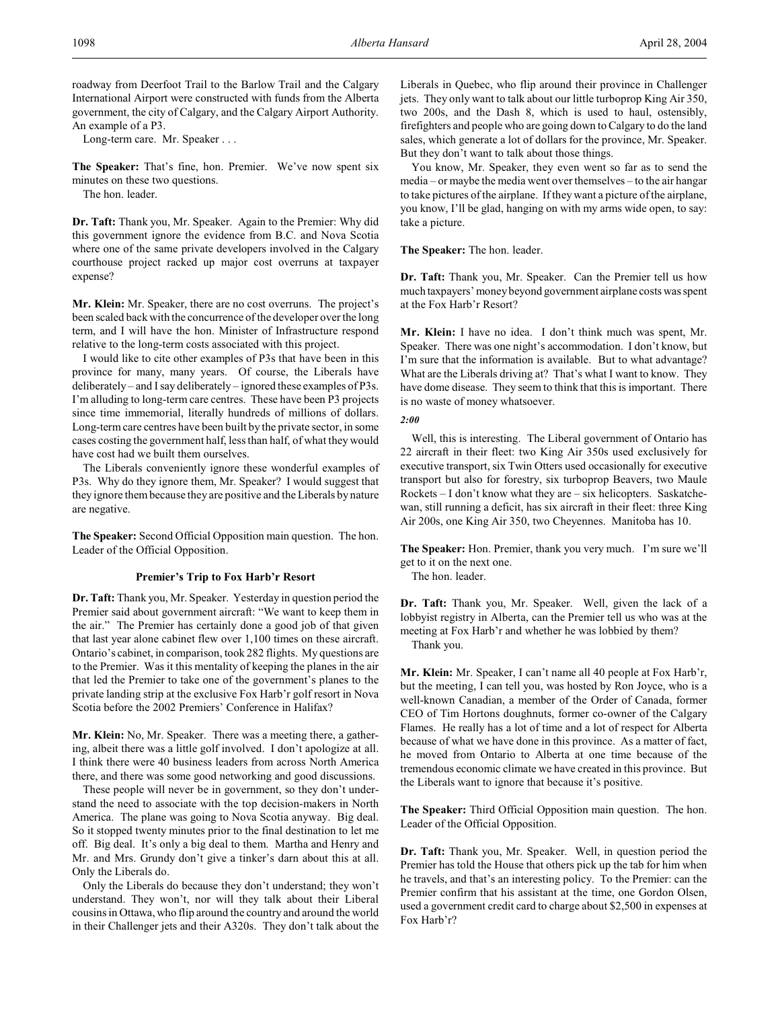roadway from Deerfoot Trail to the Barlow Trail and the Calgary International Airport were constructed with funds from the Alberta government, the city of Calgary, and the Calgary Airport Authority. An example of a P3.

Long-term care. Mr. Speaker . . .

**The Speaker:** That's fine, hon. Premier. We've now spent six minutes on these two questions.

The hon. leader.

**Dr. Taft:** Thank you, Mr. Speaker. Again to the Premier: Why did this government ignore the evidence from B.C. and Nova Scotia where one of the same private developers involved in the Calgary courthouse project racked up major cost overruns at taxpayer expense?

**Mr. Klein:** Mr. Speaker, there are no cost overruns. The project's been scaled back with the concurrence of the developer over the long term, and I will have the hon. Minister of Infrastructure respond relative to the long-term costs associated with this project.

I would like to cite other examples of P3s that have been in this province for many, many years. Of course, the Liberals have deliberately – and I say deliberately – ignored these examples of P3s. I'm alluding to long-term care centres. These have been P3 projects since time immemorial, literally hundreds of millions of dollars. Long-term care centres have been built by the private sector, in some cases costing the government half, lessthan half, of what they would have cost had we built them ourselves.

The Liberals conveniently ignore these wonderful examples of P3s. Why do they ignore them, Mr. Speaker? I would suggest that they ignore them because they are positive and the Liberals by nature are negative.

**The Speaker:** Second Official Opposition main question. The hon. Leader of the Official Opposition.

#### **Premier's Trip to Fox Harb'r Resort**

**Dr. Taft:** Thank you, Mr. Speaker. Yesterday in question period the Premier said about government aircraft: "We want to keep them in the air." The Premier has certainly done a good job of that given that last year alone cabinet flew over 1,100 times on these aircraft. Ontario's cabinet, in comparison, took 282 flights. My questions are to the Premier. Was it this mentality of keeping the planes in the air that led the Premier to take one of the government's planes to the private landing strip at the exclusive Fox Harb'r golf resort in Nova Scotia before the 2002 Premiers' Conference in Halifax?

**Mr. Klein:** No, Mr. Speaker. There was a meeting there, a gathering, albeit there was a little golf involved. I don't apologize at all. I think there were 40 business leaders from across North America there, and there was some good networking and good discussions.

These people will never be in government, so they don't understand the need to associate with the top decision-makers in North America. The plane was going to Nova Scotia anyway. Big deal. So it stopped twenty minutes prior to the final destination to let me off. Big deal. It's only a big deal to them. Martha and Henry and Mr. and Mrs. Grundy don't give a tinker's darn about this at all. Only the Liberals do.

Only the Liberals do because they don't understand; they won't understand. They won't, nor will they talk about their Liberal cousinsin Ottawa, who flip around the country and around the world in their Challenger jets and their A320s. They don't talk about the

Liberals in Quebec, who flip around their province in Challenger jets. They only want to talk about our little turboprop King Air 350, two 200s, and the Dash 8, which is used to haul, ostensibly, firefighters and people who are going down to Calgary to do the land sales, which generate a lot of dollars for the province, Mr. Speaker. But they don't want to talk about those things.

You know, Mr. Speaker, they even went so far as to send the media – or maybe the media went over themselves – to the air hangar to take pictures of the airplane. If they want a picture of the airplane, you know, I'll be glad, hanging on with my arms wide open, to say: take a picture.

**The Speaker:** The hon. leader.

**Dr. Taft:** Thank you, Mr. Speaker. Can the Premier tell us how much taxpayers' money beyond government airplane costs was spent at the Fox Harb'r Resort?

**Mr. Klein:** I have no idea. I don't think much was spent, Mr. Speaker. There was one night's accommodation. I don't know, but I'm sure that the information is available. But to what advantage? What are the Liberals driving at? That's what I want to know. They have dome disease. They seem to think that this is important. There is no waste of money whatsoever.

*2:00*

Well, this is interesting. The Liberal government of Ontario has 22 aircraft in their fleet: two King Air 350s used exclusively for executive transport, six Twin Otters used occasionally for executive transport but also for forestry, six turboprop Beavers, two Maule Rockets – I don't know what they are – six helicopters. Saskatchewan, still running a deficit, has six aircraft in their fleet: three King Air 200s, one King Air 350, two Cheyennes. Manitoba has 10.

**The Speaker:** Hon. Premier, thank you very much. I'm sure we'll get to it on the next one.

The hon. leader.

**Dr. Taft:** Thank you, Mr. Speaker. Well, given the lack of a lobbyist registry in Alberta, can the Premier tell us who was at the meeting at Fox Harb'r and whether he was lobbied by them?

Thank you.

**Mr. Klein:** Mr. Speaker, I can't name all 40 people at Fox Harb'r, but the meeting, I can tell you, was hosted by Ron Joyce, who is a well-known Canadian, a member of the Order of Canada, former CEO of Tim Hortons doughnuts, former co-owner of the Calgary Flames. He really has a lot of time and a lot of respect for Alberta because of what we have done in this province. As a matter of fact, he moved from Ontario to Alberta at one time because of the tremendous economic climate we have created in this province. But the Liberals want to ignore that because it's positive.

**The Speaker:** Third Official Opposition main question. The hon. Leader of the Official Opposition.

**Dr. Taft:** Thank you, Mr. Speaker. Well, in question period the Premier has told the House that others pick up the tab for him when he travels, and that's an interesting policy. To the Premier: can the Premier confirm that his assistant at the time, one Gordon Olsen, used a government credit card to charge about \$2,500 in expenses at Fox Harb'r?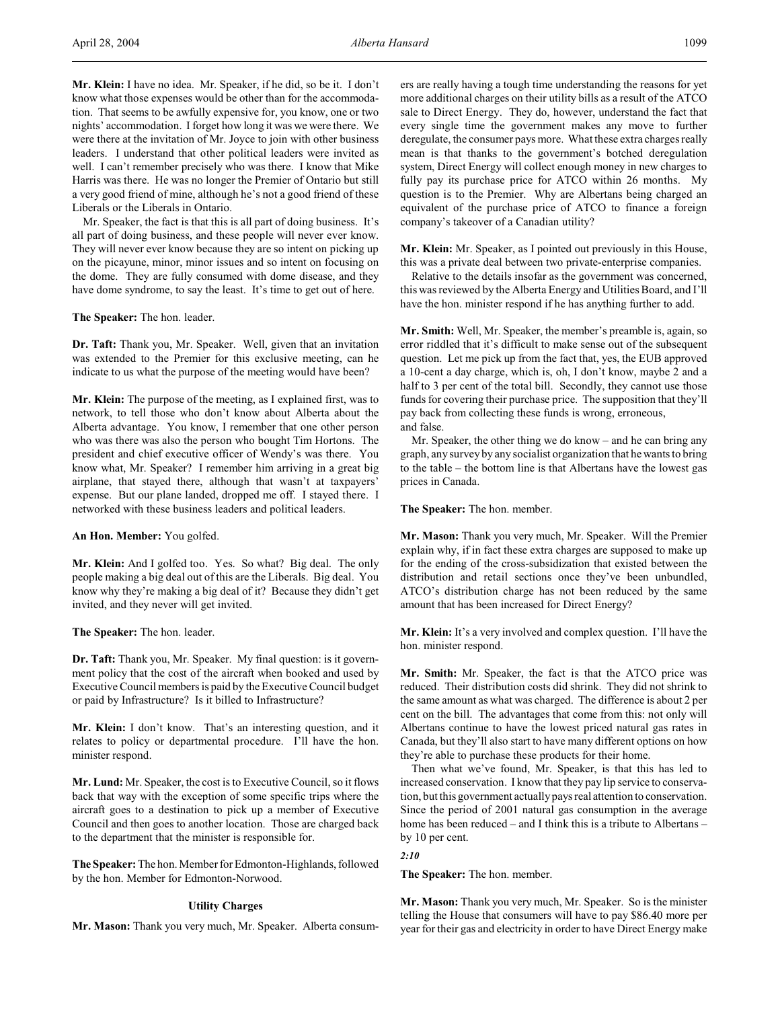**Mr. Klein:** I have no idea. Mr. Speaker, if he did, so be it. I don't know what those expenses would be other than for the accommodation. That seems to be awfully expensive for, you know, one or two nights' accommodation. I forget how long it was we were there. We were there at the invitation of Mr. Joyce to join with other business leaders. I understand that other political leaders were invited as well. I can't remember precisely who was there. I know that Mike Harris was there. He was no longer the Premier of Ontario but still a very good friend of mine, although he's not a good friend of these Liberals or the Liberals in Ontario.

Mr. Speaker, the fact is that this is all part of doing business. It's all part of doing business, and these people will never ever know. They will never ever know because they are so intent on picking up on the picayune, minor, minor issues and so intent on focusing on the dome. They are fully consumed with dome disease, and they have dome syndrome, to say the least. It's time to get out of here.

**The Speaker:** The hon. leader.

**Dr. Taft:** Thank you, Mr. Speaker. Well, given that an invitation was extended to the Premier for this exclusive meeting, can he indicate to us what the purpose of the meeting would have been?

**Mr. Klein:** The purpose of the meeting, as I explained first, was to network, to tell those who don't know about Alberta about the Alberta advantage. You know, I remember that one other person who was there was also the person who bought Tim Hortons. The president and chief executive officer of Wendy's was there. You know what, Mr. Speaker? I remember him arriving in a great big airplane, that stayed there, although that wasn't at taxpayers' expense. But our plane landed, dropped me off. I stayed there. I networked with these business leaders and political leaders.

**An Hon. Member:** You golfed.

**Mr. Klein:** And I golfed too. Yes. So what? Big deal. The only people making a big deal out of this are the Liberals. Big deal. You know why they're making a big deal of it? Because they didn't get invited, and they never will get invited.

**The Speaker:** The hon. leader.

**Dr. Taft:** Thank you, Mr. Speaker. My final question: is it government policy that the cost of the aircraft when booked and used by Executive Council members is paid by the Executive Council budget or paid by Infrastructure? Is it billed to Infrastructure?

**Mr. Klein:** I don't know. That's an interesting question, and it relates to policy or departmental procedure. I'll have the hon. minister respond.

**Mr. Lund:** Mr. Speaker, the cost is to Executive Council, so it flows back that way with the exception of some specific trips where the aircraft goes to a destination to pick up a member of Executive Council and then goes to another location. Those are charged back to the department that the minister is responsible for.

**The Speaker:** The hon. Member for Edmonton-Highlands, followed by the hon. Member for Edmonton-Norwood.

#### **Utility Charges**

**Mr. Mason:** Thank you very much, Mr. Speaker. Alberta consum-

ers are really having a tough time understanding the reasons for yet more additional charges on their utility bills as a result of the ATCO sale to Direct Energy. They do, however, understand the fact that every single time the government makes any move to further deregulate, the consumer pays more. What these extra charges really mean is that thanks to the government's botched deregulation system, Direct Energy will collect enough money in new charges to fully pay its purchase price for ATCO within 26 months. My question is to the Premier. Why are Albertans being charged an equivalent of the purchase price of ATCO to finance a foreign company's takeover of a Canadian utility?

**Mr. Klein:** Mr. Speaker, as I pointed out previously in this House, this was a private deal between two private-enterprise companies.

Relative to the details insofar as the government was concerned, this was reviewed by the Alberta Energy and Utilities Board, and I'll have the hon. minister respond if he has anything further to add.

**Mr. Smith:** Well, Mr. Speaker, the member's preamble is, again, so error riddled that it's difficult to make sense out of the subsequent question. Let me pick up from the fact that, yes, the EUB approved a 10-cent a day charge, which is, oh, I don't know, maybe 2 and a half to 3 per cent of the total bill. Secondly, they cannot use those funds for covering their purchase price. The supposition that they'll pay back from collecting these funds is wrong, erroneous, and false.

Mr. Speaker, the other thing we do know – and he can bring any graph, any survey by any socialist organization that he wants to bring to the table – the bottom line is that Albertans have the lowest gas prices in Canada.

**The Speaker:** The hon. member.

**Mr. Mason:** Thank you very much, Mr. Speaker. Will the Premier explain why, if in fact these extra charges are supposed to make up for the ending of the cross-subsidization that existed between the distribution and retail sections once they've been unbundled, ATCO's distribution charge has not been reduced by the same amount that has been increased for Direct Energy?

**Mr. Klein:** It's a very involved and complex question. I'll have the hon. minister respond.

**Mr. Smith:** Mr. Speaker, the fact is that the ATCO price was reduced. Their distribution costs did shrink. They did not shrink to the same amount as what was charged. The difference is about 2 per cent on the bill. The advantages that come from this: not only will Albertans continue to have the lowest priced natural gas rates in Canada, but they'll also start to have many different options on how they're able to purchase these products for their home.

Then what we've found, Mr. Speaker, is that this has led to increased conservation. I know that they pay lip service to conservation, but this government actually pays real attention to conservation. Since the period of 2001 natural gas consumption in the average home has been reduced – and I think this is a tribute to Albertans – by 10 per cent.

## *2:10*

**The Speaker:** The hon. member.

**Mr. Mason:** Thank you very much, Mr. Speaker. So is the minister telling the House that consumers will have to pay \$86.40 more per year for their gas and electricity in order to have Direct Energy make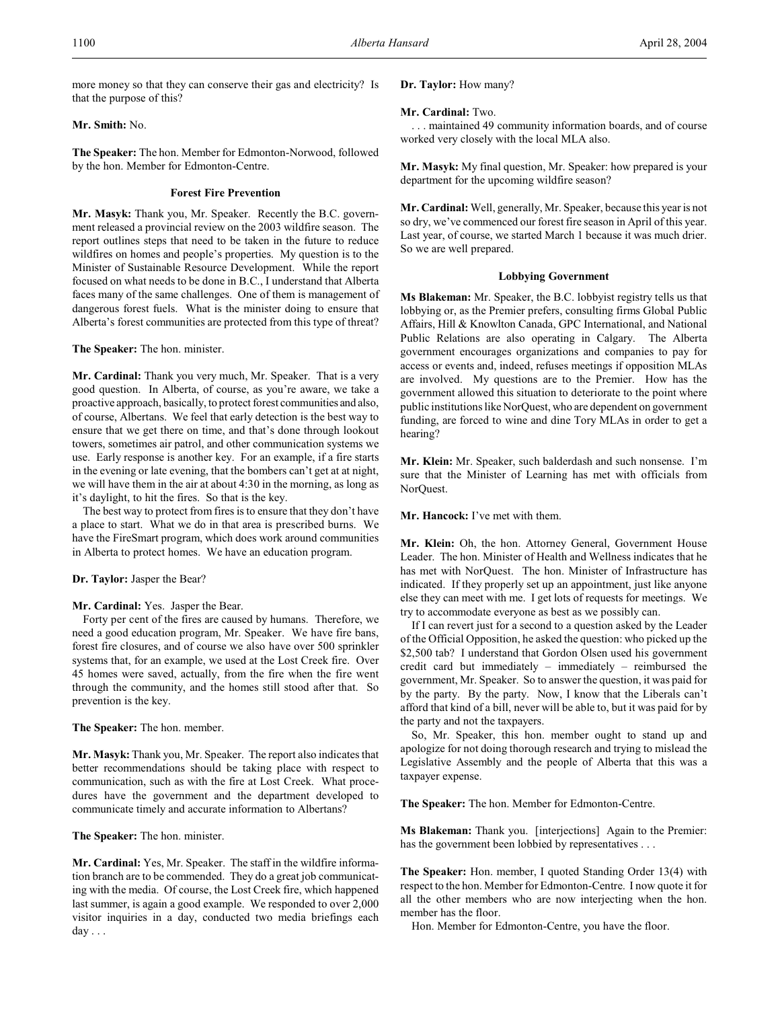more money so that they can conserve their gas and electricity? Is that the purpose of this?

## **Mr. Smith:** No.

**The Speaker:** The hon. Member for Edmonton-Norwood, followed by the hon. Member for Edmonton-Centre.

#### **Forest Fire Prevention**

**Mr. Masyk:** Thank you, Mr. Speaker. Recently the B.C. government released a provincial review on the 2003 wildfire season. The report outlines steps that need to be taken in the future to reduce wildfires on homes and people's properties. My question is to the Minister of Sustainable Resource Development. While the report focused on what needs to be done in B.C., I understand that Alberta faces many of the same challenges. One of them is management of dangerous forest fuels. What is the minister doing to ensure that Alberta's forest communities are protected from this type of threat?

**The Speaker:** The hon. minister.

**Mr. Cardinal:** Thank you very much, Mr. Speaker. That is a very good question. In Alberta, of course, as you're aware, we take a proactive approach, basically, to protect forest communities and also, of course, Albertans. We feel that early detection is the best way to ensure that we get there on time, and that's done through lookout towers, sometimes air patrol, and other communication systems we use. Early response is another key. For an example, if a fire starts in the evening or late evening, that the bombers can't get at at night, we will have them in the air at about 4:30 in the morning, as long as it's daylight, to hit the fires. So that is the key.

The best way to protect from fires is to ensure that they don't have a place to start. What we do in that area is prescribed burns. We have the FireSmart program, which does work around communities in Alberta to protect homes. We have an education program.

#### **Dr. Taylor:** Jasper the Bear?

#### **Mr. Cardinal:** Yes. Jasper the Bear.

Forty per cent of the fires are caused by humans. Therefore, we need a good education program, Mr. Speaker. We have fire bans, forest fire closures, and of course we also have over 500 sprinkler systems that, for an example, we used at the Lost Creek fire. Over 45 homes were saved, actually, from the fire when the fire went through the community, and the homes still stood after that. So prevention is the key.

#### **The Speaker:** The hon. member.

**Mr. Masyk:** Thank you, Mr. Speaker. The report also indicates that better recommendations should be taking place with respect to communication, such as with the fire at Lost Creek. What procedures have the government and the department developed to communicate timely and accurate information to Albertans?

#### **The Speaker:** The hon. minister.

**Mr. Cardinal:** Yes, Mr. Speaker. The staff in the wildfire information branch are to be commended. They do a great job communicating with the media. Of course, the Lost Creek fire, which happened last summer, is again a good example. We responded to over 2,000 visitor inquiries in a day, conducted two media briefings each day . . .

### **Dr. Taylor:** How many?

#### **Mr. Cardinal:** Two.

. . . maintained 49 community information boards, and of course worked very closely with the local MLA also.

**Mr. Masyk:** My final question, Mr. Speaker: how prepared is your department for the upcoming wildfire season?

**Mr. Cardinal:** Well, generally, Mr. Speaker, because this year is not so dry, we've commenced our forest fire season in April of this year. Last year, of course, we started March 1 because it was much drier. So we are well prepared.

#### **Lobbying Government**

**Ms Blakeman:** Mr. Speaker, the B.C. lobbyist registry tells us that lobbying or, as the Premier prefers, consulting firms Global Public Affairs, Hill & Knowlton Canada, GPC International, and National Public Relations are also operating in Calgary. The Alberta government encourages organizations and companies to pay for access or events and, indeed, refuses meetings if opposition MLAs are involved. My questions are to the Premier. How has the government allowed this situation to deteriorate to the point where public institutions like NorQuest, who are dependent on government funding, are forced to wine and dine Tory MLAs in order to get a hearing?

**Mr. Klein:** Mr. Speaker, such balderdash and such nonsense. I'm sure that the Minister of Learning has met with officials from NorQuest.

**Mr. Hancock:** I've met with them.

**Mr. Klein:** Oh, the hon. Attorney General, Government House Leader. The hon. Minister of Health and Wellness indicates that he has met with NorQuest. The hon. Minister of Infrastructure has indicated. If they properly set up an appointment, just like anyone else they can meet with me. I get lots of requests for meetings. We try to accommodate everyone as best as we possibly can.

If I can revert just for a second to a question asked by the Leader of the Official Opposition, he asked the question: who picked up the \$2,500 tab? I understand that Gordon Olsen used his government credit card but immediately – immediately – reimbursed the government, Mr. Speaker. So to answer the question, it was paid for by the party. By the party. Now, I know that the Liberals can't afford that kind of a bill, never will be able to, but it was paid for by the party and not the taxpayers.

So, Mr. Speaker, this hon. member ought to stand up and apologize for not doing thorough research and trying to mislead the Legislative Assembly and the people of Alberta that this was a taxpayer expense.

**The Speaker:** The hon. Member for Edmonton-Centre.

**Ms Blakeman:** Thank you. [interjections] Again to the Premier: has the government been lobbied by representatives . . .

**The Speaker:** Hon. member, I quoted Standing Order 13(4) with respect to the hon. Member for Edmonton-Centre. I now quote it for all the other members who are now interjecting when the hon. member has the floor.

Hon. Member for Edmonton-Centre, you have the floor.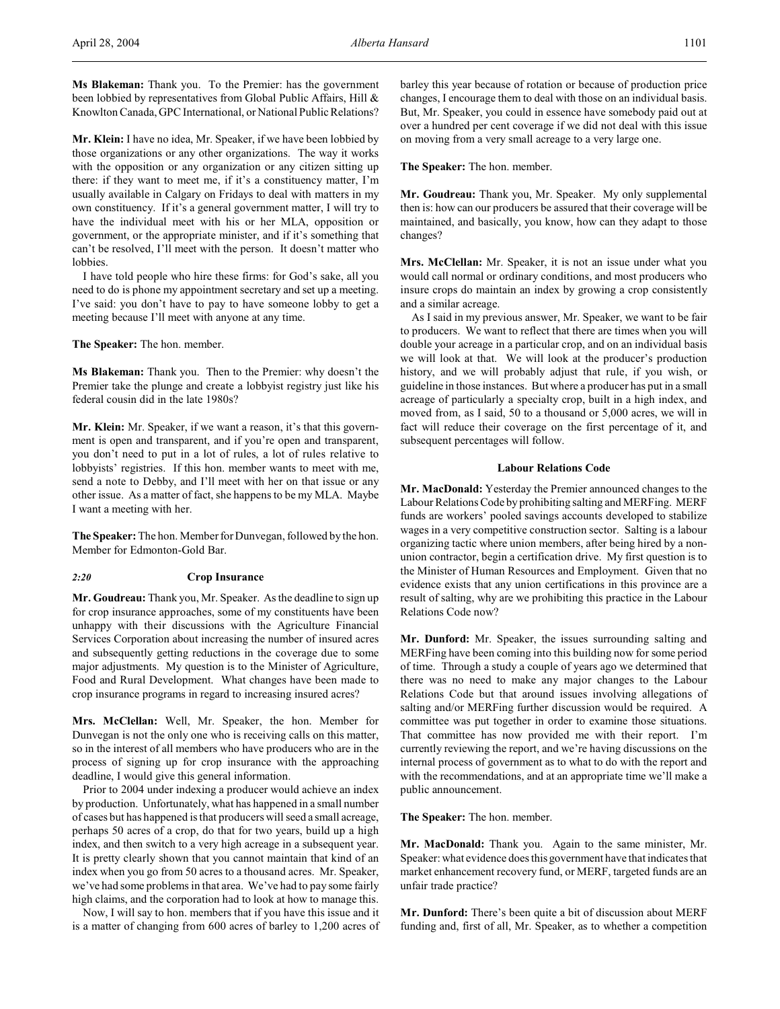**Ms Blakeman:** Thank you. To the Premier: has the government been lobbied by representatives from Global Public Affairs, Hill & Knowlton Canada, GPC International, or National Public Relations?

**Mr. Klein:** I have no idea, Mr. Speaker, if we have been lobbied by those organizations or any other organizations. The way it works with the opposition or any organization or any citizen sitting up there: if they want to meet me, if it's a constituency matter, I'm usually available in Calgary on Fridays to deal with matters in my own constituency. If it's a general government matter, I will try to have the individual meet with his or her MLA, opposition or government, or the appropriate minister, and if it's something that can't be resolved, I'll meet with the person. It doesn't matter who lobbies.

I have told people who hire these firms: for God's sake, all you need to do is phone my appointment secretary and set up a meeting. I've said: you don't have to pay to have someone lobby to get a meeting because I'll meet with anyone at any time.

**The Speaker:** The hon. member.

**Ms Blakeman:** Thank you. Then to the Premier: why doesn't the Premier take the plunge and create a lobbyist registry just like his federal cousin did in the late 1980s?

**Mr. Klein:** Mr. Speaker, if we want a reason, it's that this government is open and transparent, and if you're open and transparent, you don't need to put in a lot of rules, a lot of rules relative to lobbyists' registries. If this hon. member wants to meet with me, send a note to Debby, and I'll meet with her on that issue or any other issue. As a matter of fact, she happens to be my MLA. Maybe I want a meeting with her.

**The Speaker:** The hon. Member for Dunvegan, followed by the hon. Member for Edmonton-Gold Bar.

#### *2:20* **Crop Insurance**

**Mr. Goudreau:** Thank you, Mr. Speaker. As the deadline to sign up for crop insurance approaches, some of my constituents have been unhappy with their discussions with the Agriculture Financial Services Corporation about increasing the number of insured acres and subsequently getting reductions in the coverage due to some major adjustments. My question is to the Minister of Agriculture, Food and Rural Development. What changes have been made to crop insurance programs in regard to increasing insured acres?

**Mrs. McClellan:** Well, Mr. Speaker, the hon. Member for Dunvegan is not the only one who is receiving calls on this matter, so in the interest of all members who have producers who are in the process of signing up for crop insurance with the approaching deadline, I would give this general information.

Prior to 2004 under indexing a producer would achieve an index by production. Unfortunately, what has happened in a small number of cases but has happened is that producers will seed a small acreage, perhaps 50 acres of a crop, do that for two years, build up a high index, and then switch to a very high acreage in a subsequent year. It is pretty clearly shown that you cannot maintain that kind of an index when you go from 50 acres to a thousand acres. Mr. Speaker, we've had some problems in that area. We've had to pay some fairly high claims, and the corporation had to look at how to manage this.

Now, I will say to hon. members that if you have this issue and it is a matter of changing from 600 acres of barley to 1,200 acres of barley this year because of rotation or because of production price changes, I encourage them to deal with those on an individual basis. But, Mr. Speaker, you could in essence have somebody paid out at over a hundred per cent coverage if we did not deal with this issue on moving from a very small acreage to a very large one.

**The Speaker:** The hon. member.

**Mr. Goudreau:** Thank you, Mr. Speaker. My only supplemental then is: how can our producers be assured that their coverage will be maintained, and basically, you know, how can they adapt to those changes?

**Mrs. McClellan:** Mr. Speaker, it is not an issue under what you would call normal or ordinary conditions, and most producers who insure crops do maintain an index by growing a crop consistently and a similar acreage.

As I said in my previous answer, Mr. Speaker, we want to be fair to producers. We want to reflect that there are times when you will double your acreage in a particular crop, and on an individual basis we will look at that. We will look at the producer's production history, and we will probably adjust that rule, if you wish, or guideline in those instances. But where a producer has put in a small acreage of particularly a specialty crop, built in a high index, and moved from, as I said, 50 to a thousand or 5,000 acres, we will in fact will reduce their coverage on the first percentage of it, and subsequent percentages will follow.

## **Labour Relations Code**

**Mr. MacDonald:** Yesterday the Premier announced changes to the Labour Relations Code by prohibiting salting and MERFing. MERF funds are workers' pooled savings accounts developed to stabilize wages in a very competitive construction sector. Salting is a labour organizing tactic where union members, after being hired by a nonunion contractor, begin a certification drive. My first question is to the Minister of Human Resources and Employment. Given that no evidence exists that any union certifications in this province are a result of salting, why are we prohibiting this practice in the Labour Relations Code now?

**Mr. Dunford:** Mr. Speaker, the issues surrounding salting and MERFing have been coming into this building now for some period of time. Through a study a couple of years ago we determined that there was no need to make any major changes to the Labour Relations Code but that around issues involving allegations of salting and/or MERFing further discussion would be required. A committee was put together in order to examine those situations. That committee has now provided me with their report. I'm currently reviewing the report, and we're having discussions on the internal process of government as to what to do with the report and with the recommendations, and at an appropriate time we'll make a public announcement.

**The Speaker:** The hon. member.

**Mr. MacDonald:** Thank you. Again to the same minister, Mr. Speaker: what evidence does this government have that indicates that market enhancement recovery fund, or MERF, targeted funds are an unfair trade practice?

**Mr. Dunford:** There's been quite a bit of discussion about MERF funding and, first of all, Mr. Speaker, as to whether a competition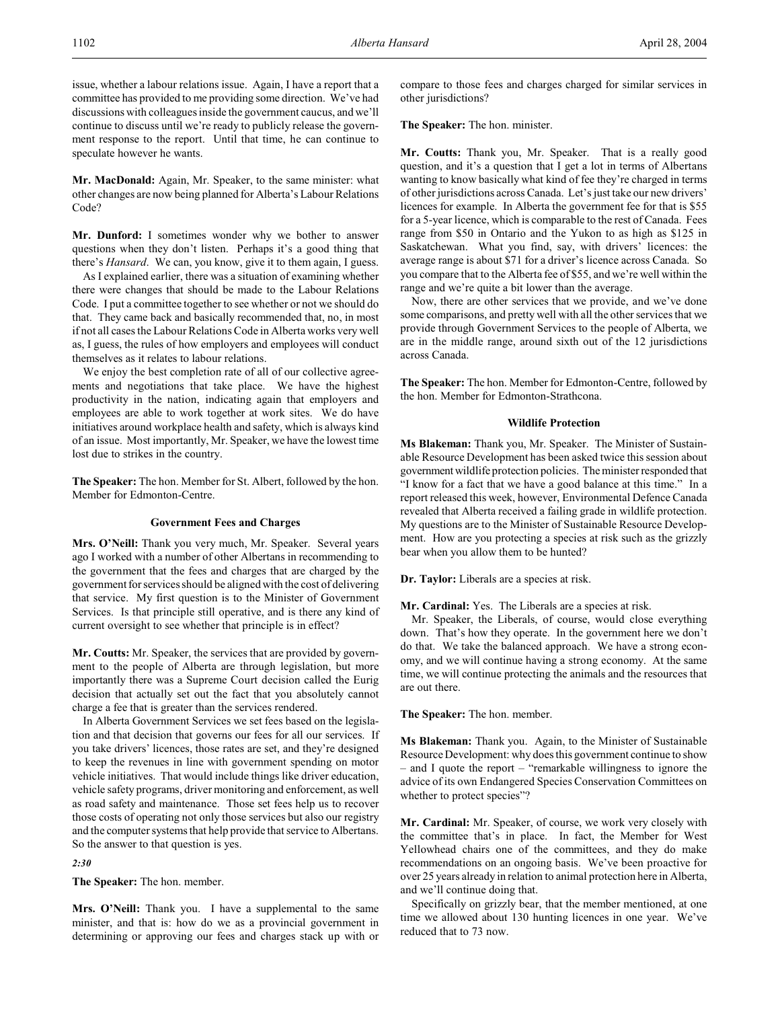issue, whether a labour relations issue. Again, I have a report that a committee has provided to me providing some direction. We've had discussions with colleagues inside the government caucus, and we'll continue to discuss until we're ready to publicly release the government response to the report. Until that time, he can continue to speculate however he wants.

**Mr. MacDonald:** Again, Mr. Speaker, to the same minister: what other changes are now being planned for Alberta's Labour Relations Code?

**Mr. Dunford:** I sometimes wonder why we bother to answer questions when they don't listen. Perhaps it's a good thing that there's *Hansard*. We can, you know, give it to them again, I guess.

As I explained earlier, there was a situation of examining whether there were changes that should be made to the Labour Relations Code. I put a committee together to see whether or not we should do that. They came back and basically recommended that, no, in most if not all cases the Labour Relations Code in Alberta works very well as, I guess, the rules of how employers and employees will conduct themselves as it relates to labour relations.

We enjoy the best completion rate of all of our collective agreements and negotiations that take place. We have the highest productivity in the nation, indicating again that employers and employees are able to work together at work sites. We do have initiatives around workplace health and safety, which is always kind of an issue. Most importantly, Mr. Speaker, we have the lowest time lost due to strikes in the country.

**The Speaker:** The hon. Member for St. Albert, followed by the hon. Member for Edmonton-Centre.

#### **Government Fees and Charges**

**Mrs. O'Neill:** Thank you very much, Mr. Speaker. Several years ago I worked with a number of other Albertans in recommending to the government that the fees and charges that are charged by the government for services should be aligned with the cost of delivering that service. My first question is to the Minister of Government Services. Is that principle still operative, and is there any kind of current oversight to see whether that principle is in effect?

**Mr. Coutts:** Mr. Speaker, the services that are provided by government to the people of Alberta are through legislation, but more importantly there was a Supreme Court decision called the Eurig decision that actually set out the fact that you absolutely cannot charge a fee that is greater than the services rendered.

In Alberta Government Services we set fees based on the legislation and that decision that governs our fees for all our services. If you take drivers' licences, those rates are set, and they're designed to keep the revenues in line with government spending on motor vehicle initiatives. That would include things like driver education, vehicle safety programs, driver monitoring and enforcement, as well as road safety and maintenance. Those set fees help us to recover those costs of operating not only those services but also our registry and the computer systems that help provide that service to Albertans. So the answer to that question is yes.

*2:30*

**The Speaker:** The hon. member.

**Mrs. O'Neill:** Thank you. I have a supplemental to the same minister, and that is: how do we as a provincial government in determining or approving our fees and charges stack up with or compare to those fees and charges charged for similar services in other jurisdictions?

**The Speaker:** The hon. minister.

**Mr. Coutts:** Thank you, Mr. Speaker. That is a really good question, and it's a question that I get a lot in terms of Albertans wanting to know basically what kind of fee they're charged in terms of other jurisdictions across Canada. Let's just take our new drivers' licences for example. In Alberta the government fee for that is \$55 for a 5-year licence, which is comparable to the rest of Canada. Fees range from \$50 in Ontario and the Yukon to as high as \$125 in Saskatchewan. What you find, say, with drivers' licences: the average range is about \$71 for a driver's licence across Canada. So you compare that to the Alberta fee of \$55, and we're well within the range and we're quite a bit lower than the average.

Now, there are other services that we provide, and we've done some comparisons, and pretty well with all the other services that we provide through Government Services to the people of Alberta, we are in the middle range, around sixth out of the 12 jurisdictions across Canada.

**The Speaker:** The hon. Member for Edmonton-Centre, followed by the hon. Member for Edmonton-Strathcona.

#### **Wildlife Protection**

**Ms Blakeman:** Thank you, Mr. Speaker. The Minister of Sustainable Resource Development has been asked twice this session about government wildlife protection policies. The minister responded that "I know for a fact that we have a good balance at this time." In a report released this week, however, Environmental Defence Canada revealed that Alberta received a failing grade in wildlife protection. My questions are to the Minister of Sustainable Resource Development. How are you protecting a species at risk such as the grizzly bear when you allow them to be hunted?

**Dr. Taylor:** Liberals are a species at risk.

**Mr. Cardinal:** Yes. The Liberals are a species at risk.

Mr. Speaker, the Liberals, of course, would close everything down. That's how they operate. In the government here we don't do that. We take the balanced approach. We have a strong economy, and we will continue having a strong economy. At the same time, we will continue protecting the animals and the resources that are out there.

**The Speaker:** The hon. member.

**Ms Blakeman:** Thank you. Again, to the Minister of Sustainable Resource Development: why does this government continue to show – and I quote the report – "remarkable willingness to ignore the advice of its own Endangered Species Conservation Committees on whether to protect species"?

**Mr. Cardinal:** Mr. Speaker, of course, we work very closely with the committee that's in place. In fact, the Member for West Yellowhead chairs one of the committees, and they do make recommendations on an ongoing basis. We've been proactive for over 25 years already in relation to animal protection here in Alberta, and we'll continue doing that.

Specifically on grizzly bear, that the member mentioned, at one time we allowed about 130 hunting licences in one year. We've reduced that to 73 now.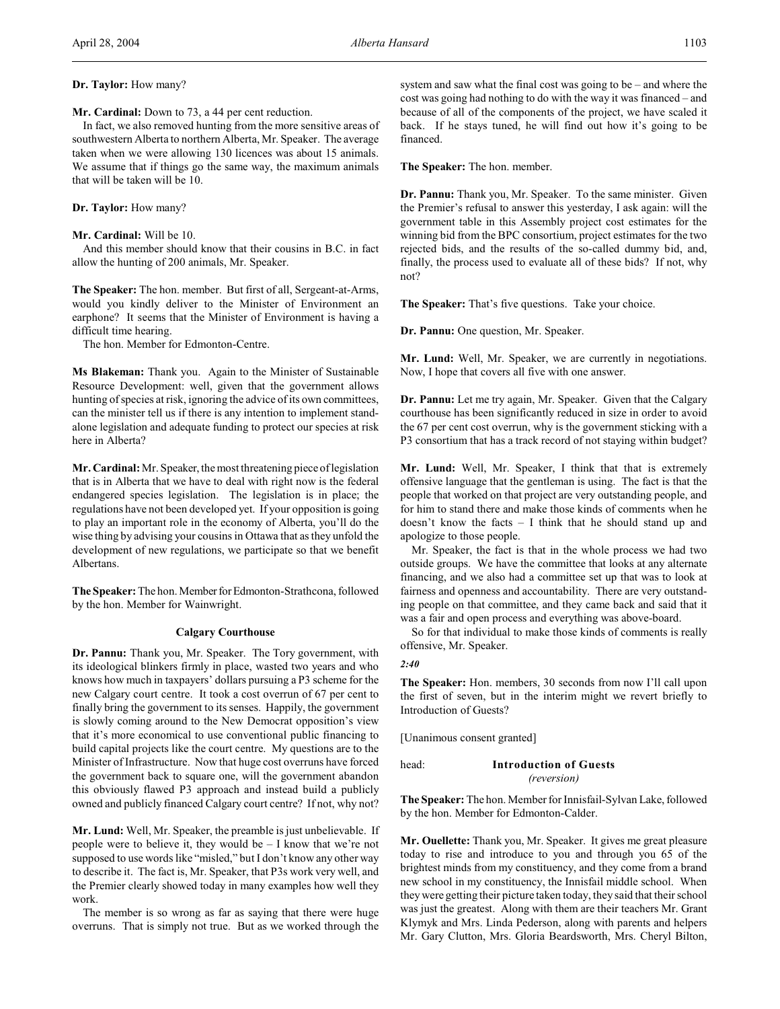**Mr. Cardinal:** Down to 73, a 44 per cent reduction.

In fact, we also removed hunting from the more sensitive areas of southwestern Alberta to northern Alberta, Mr. Speaker. The average taken when we were allowing 130 licences was about 15 animals. We assume that if things go the same way, the maximum animals that will be taken will be 10.

#### **Dr. Taylor:** How many?

#### **Mr. Cardinal:** Will be 10.

And this member should know that their cousins in B.C. in fact allow the hunting of 200 animals, Mr. Speaker.

**The Speaker:** The hon. member. But first of all, Sergeant-at-Arms, would you kindly deliver to the Minister of Environment an earphone? It seems that the Minister of Environment is having a difficult time hearing.

The hon. Member for Edmonton-Centre.

**Ms Blakeman:** Thank you. Again to the Minister of Sustainable Resource Development: well, given that the government allows hunting of species at risk, ignoring the advice of its own committees, can the minister tell us if there is any intention to implement standalone legislation and adequate funding to protect our species at risk here in Alberta?

**Mr. Cardinal:** Mr. Speaker, the most threatening piece of legislation that is in Alberta that we have to deal with right now is the federal endangered species legislation. The legislation is in place; the regulations have not been developed yet. If your opposition is going to play an important role in the economy of Alberta, you'll do the wise thing by advising your cousins in Ottawa that as they unfold the development of new regulations, we participate so that we benefit Albertans.

**The Speaker:** The hon. Member for Edmonton-Strathcona, followed by the hon. Member for Wainwright.

#### **Calgary Courthouse**

**Dr. Pannu:** Thank you, Mr. Speaker. The Tory government, with its ideological blinkers firmly in place, wasted two years and who knows how much in taxpayers' dollars pursuing a P3 scheme for the new Calgary court centre. It took a cost overrun of 67 per cent to finally bring the government to its senses. Happily, the government is slowly coming around to the New Democrat opposition's view that it's more economical to use conventional public financing to build capital projects like the court centre. My questions are to the Minister of Infrastructure. Now that huge cost overruns have forced the government back to square one, will the government abandon this obviously flawed P3 approach and instead build a publicly owned and publicly financed Calgary court centre? If not, why not?

**Mr. Lund:** Well, Mr. Speaker, the preamble is just unbelievable. If people were to believe it, they would be – I know that we're not supposed to use words like "misled," but I don't know any other way to describe it. The fact is, Mr. Speaker, that P3s work very well, and the Premier clearly showed today in many examples how well they work.

The member is so wrong as far as saying that there were huge overruns. That is simply not true. But as we worked through the system and saw what the final cost was going to be – and where the cost was going had nothing to do with the way it was financed – and because of all of the components of the project, we have scaled it back. If he stays tuned, he will find out how it's going to be financed.

**The Speaker:** The hon. member.

**Dr. Pannu:** Thank you, Mr. Speaker. To the same minister. Given the Premier's refusal to answer this yesterday, I ask again: will the government table in this Assembly project cost estimates for the winning bid from the BPC consortium, project estimates for the two rejected bids, and the results of the so-called dummy bid, and, finally, the process used to evaluate all of these bids? If not, why not?

**The Speaker:** That's five questions. Take your choice.

**Dr. Pannu:** One question, Mr. Speaker.

**Mr. Lund:** Well, Mr. Speaker, we are currently in negotiations. Now, I hope that covers all five with one answer.

**Dr. Pannu:** Let me try again, Mr. Speaker. Given that the Calgary courthouse has been significantly reduced in size in order to avoid the 67 per cent cost overrun, why is the government sticking with a P3 consortium that has a track record of not staying within budget?

**Mr. Lund:** Well, Mr. Speaker, I think that that is extremely offensive language that the gentleman is using. The fact is that the people that worked on that project are very outstanding people, and for him to stand there and make those kinds of comments when he doesn't know the facts – I think that he should stand up and apologize to those people.

Mr. Speaker, the fact is that in the whole process we had two outside groups. We have the committee that looks at any alternate financing, and we also had a committee set up that was to look at fairness and openness and accountability. There are very outstanding people on that committee, and they came back and said that it was a fair and open process and everything was above-board.

So for that individual to make those kinds of comments is really offensive, Mr. Speaker.

#### *2:40*

**The Speaker:** Hon. members, 30 seconds from now I'll call upon the first of seven, but in the interim might we revert briefly to Introduction of Guests?

[Unanimous consent granted]

## head: **Introduction of Guests** *(reversion)*

**The Speaker:** The hon. Member for Innisfail-Sylvan Lake, followed by the hon. Member for Edmonton-Calder.

**Mr. Ouellette:** Thank you, Mr. Speaker. It gives me great pleasure today to rise and introduce to you and through you 65 of the brightest minds from my constituency, and they come from a brand new school in my constituency, the Innisfail middle school. When they were getting their picture taken today, they said that their school was just the greatest. Along with them are their teachers Mr. Grant Klymyk and Mrs. Linda Pederson, along with parents and helpers Mr. Gary Clutton, Mrs. Gloria Beardsworth, Mrs. Cheryl Bilton,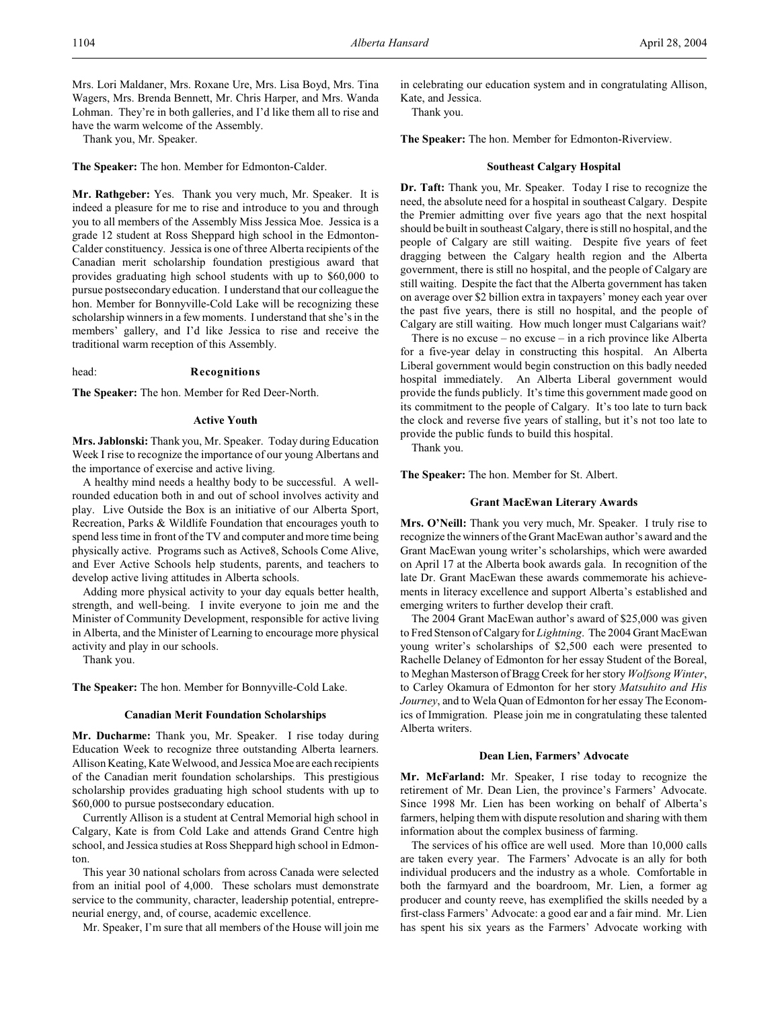Mrs. Lori Maldaner, Mrs. Roxane Ure, Mrs. Lisa Boyd, Mrs. Tina Wagers, Mrs. Brenda Bennett, Mr. Chris Harper, and Mrs. Wanda Lohman. They're in both galleries, and I'd like them all to rise and have the warm welcome of the Assembly.

Thank you, Mr. Speaker.

**The Speaker:** The hon. Member for Edmonton-Calder.

**Mr. Rathgeber:** Yes. Thank you very much, Mr. Speaker. It is indeed a pleasure for me to rise and introduce to you and through you to all members of the Assembly Miss Jessica Moe. Jessica is a grade 12 student at Ross Sheppard high school in the Edmonton-Calder constituency. Jessica is one of three Alberta recipients of the Canadian merit scholarship foundation prestigious award that provides graduating high school students with up to \$60,000 to pursue postsecondary education. I understand that our colleague the hon. Member for Bonnyville-Cold Lake will be recognizing these scholarship winners in a few moments. I understand that she's in the members' gallery, and I'd like Jessica to rise and receive the traditional warm reception of this Assembly.

#### head: **Recognitions**

**The Speaker:** The hon. Member for Red Deer-North.

#### **Active Youth**

**Mrs. Jablonski:** Thank you, Mr. Speaker. Today during Education Week I rise to recognize the importance of our young Albertans and the importance of exercise and active living.

A healthy mind needs a healthy body to be successful. A wellrounded education both in and out of school involves activity and play. Live Outside the Box is an initiative of our Alberta Sport, Recreation, Parks & Wildlife Foundation that encourages youth to spend less time in front of the TV and computer and more time being physically active. Programs such as Active8, Schools Come Alive, and Ever Active Schools help students, parents, and teachers to develop active living attitudes in Alberta schools.

Adding more physical activity to your day equals better health, strength, and well-being. I invite everyone to join me and the Minister of Community Development, responsible for active living in Alberta, and the Minister of Learning to encourage more physical activity and play in our schools.

Thank you.

**The Speaker:** The hon. Member for Bonnyville-Cold Lake.

#### **Canadian Merit Foundation Scholarships**

**Mr. Ducharme:** Thank you, Mr. Speaker. I rise today during Education Week to recognize three outstanding Alberta learners. Allison Keating, Kate Welwood, and Jessica Moe are each recipients of the Canadian merit foundation scholarships. This prestigious scholarship provides graduating high school students with up to \$60,000 to pursue postsecondary education.

Currently Allison is a student at Central Memorial high school in Calgary, Kate is from Cold Lake and attends Grand Centre high school, and Jessica studies at Ross Sheppard high school in Edmonton.

This year 30 national scholars from across Canada were selected from an initial pool of 4,000. These scholars must demonstrate service to the community, character, leadership potential, entrepreneurial energy, and, of course, academic excellence.

Mr. Speaker, I'm sure that all members of the House will join me

in celebrating our education system and in congratulating Allison, Kate, and Jessica.

Thank you.

**The Speaker:** The hon. Member for Edmonton-Riverview.

#### **Southeast Calgary Hospital**

**Dr. Taft:** Thank you, Mr. Speaker. Today I rise to recognize the need, the absolute need for a hospital in southeast Calgary. Despite the Premier admitting over five years ago that the next hospital should be built in southeast Calgary, there is still no hospital, and the people of Calgary are still waiting. Despite five years of feet dragging between the Calgary health region and the Alberta government, there is still no hospital, and the people of Calgary are still waiting. Despite the fact that the Alberta government has taken on average over \$2 billion extra in taxpayers' money each year over the past five years, there is still no hospital, and the people of Calgary are still waiting. How much longer must Calgarians wait?

There is no excuse – no excuse – in a rich province like Alberta for a five-year delay in constructing this hospital. An Alberta Liberal government would begin construction on this badly needed hospital immediately. An Alberta Liberal government would provide the funds publicly. It's time this government made good on its commitment to the people of Calgary. It's too late to turn back the clock and reverse five years of stalling, but it's not too late to provide the public funds to build this hospital.

Thank you.

**The Speaker:** The hon. Member for St. Albert.

#### **Grant MacEwan Literary Awards**

**Mrs. O'Neill:** Thank you very much, Mr. Speaker. I truly rise to recognize the winners of the Grant MacEwan author's award and the Grant MacEwan young writer's scholarships, which were awarded on April 17 at the Alberta book awards gala. In recognition of the late Dr. Grant MacEwan these awards commemorate his achievements in literacy excellence and support Alberta's established and emerging writers to further develop their craft.

The 2004 Grant MacEwan author's award of \$25,000 was given to Fred Stenson of Calgary for *Lightning*. The 2004 Grant MacEwan young writer's scholarships of \$2,500 each were presented to Rachelle Delaney of Edmonton for her essay Student of the Boreal, to Meghan Masterson of BraggCreek for her story *Wolfsong Winter*, to Carley Okamura of Edmonton for her story *Matsuhito and His Journey*, and to Wela Quan of Edmonton for her essay The Economics of Immigration. Please join me in congratulating these talented Alberta writers.

#### **Dean Lien, Farmers' Advocate**

**Mr. McFarland:** Mr. Speaker, I rise today to recognize the retirement of Mr. Dean Lien, the province's Farmers' Advocate. Since 1998 Mr. Lien has been working on behalf of Alberta's farmers, helping themwith dispute resolution and sharing with them information about the complex business of farming.

The services of his office are well used. More than 10,000 calls are taken every year. The Farmers' Advocate is an ally for both individual producers and the industry as a whole. Comfortable in both the farmyard and the boardroom, Mr. Lien, a former ag producer and county reeve, has exemplified the skills needed by a first-class Farmers' Advocate: a good ear and a fair mind. Mr. Lien has spent his six years as the Farmers' Advocate working with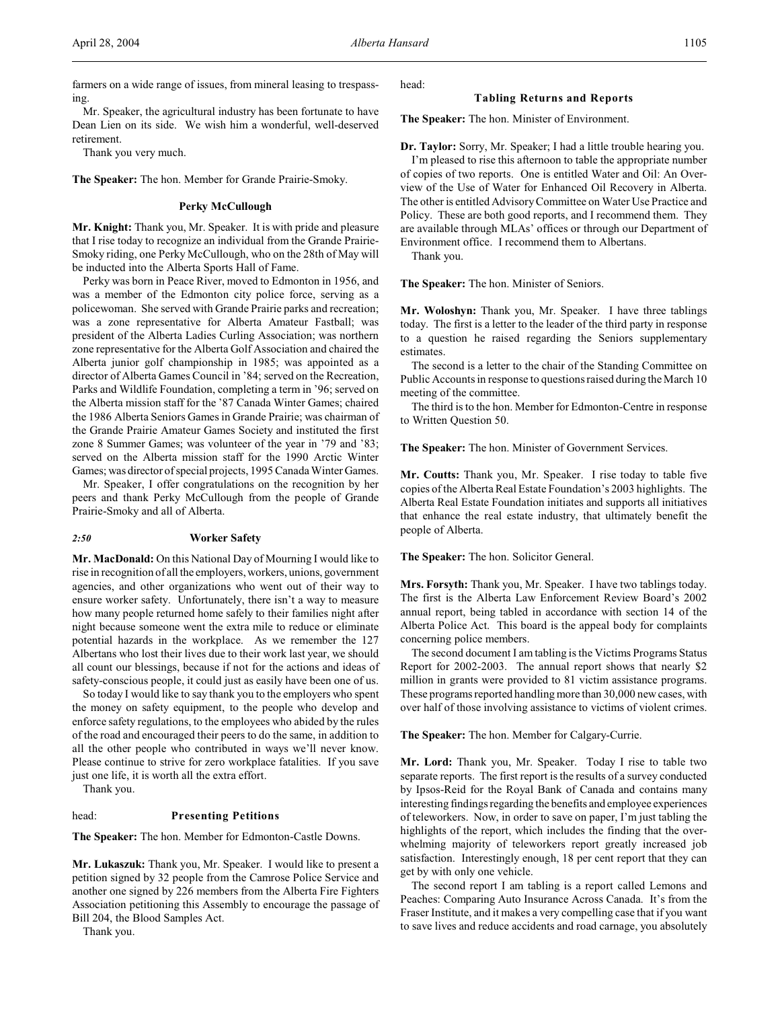Mr. Speaker, the agricultural industry has been fortunate to have Dean Lien on its side. We wish him a wonderful, well-deserved retirement.

Thank you very much.

**The Speaker:** The hon. Member for Grande Prairie-Smoky.

#### **Perky McCullough**

**Mr. Knight:** Thank you, Mr. Speaker. It is with pride and pleasure that I rise today to recognize an individual from the Grande Prairie-Smoky riding, one Perky McCullough, who on the 28th of May will be inducted into the Alberta Sports Hall of Fame.

Perky was born in Peace River, moved to Edmonton in 1956, and was a member of the Edmonton city police force, serving as a policewoman. She served with Grande Prairie parks and recreation; was a zone representative for Alberta Amateur Fastball; was president of the Alberta Ladies Curling Association; was northern zone representative for the Alberta Golf Association and chaired the Alberta junior golf championship in 1985; was appointed as a director of Alberta Games Council in '84; served on the Recreation, Parks and Wildlife Foundation, completing a term in '96; served on the Alberta mission staff for the '87 Canada Winter Games; chaired the 1986 Alberta Seniors Games in Grande Prairie; was chairman of the Grande Prairie Amateur Games Society and instituted the first zone 8 Summer Games; was volunteer of the year in '79 and '83; served on the Alberta mission staff for the 1990 Arctic Winter Games; was director of special projects, 1995 Canada Winter Games.

Mr. Speaker, I offer congratulations on the recognition by her peers and thank Perky McCullough from the people of Grande Prairie-Smoky and all of Alberta.

#### *2:50* **Worker Safety**

**Mr. MacDonald:** On this National Day of Mourning I would like to rise in recognition of all the employers, workers, unions, government agencies, and other organizations who went out of their way to ensure worker safety. Unfortunately, there isn't a way to measure how many people returned home safely to their families night after night because someone went the extra mile to reduce or eliminate potential hazards in the workplace. As we remember the 127 Albertans who lost their lives due to their work last year, we should all count our blessings, because if not for the actions and ideas of safety-conscious people, it could just as easily have been one of us.

So today I would like to say thank you to the employers who spent the money on safety equipment, to the people who develop and enforce safety regulations, to the employees who abided by the rules of the road and encouraged their peers to do the same, in addition to all the other people who contributed in ways we'll never know. Please continue to strive for zero workplace fatalities. If you save just one life, it is worth all the extra effort.

Thank you.

#### head: **Presenting Petitions**

**The Speaker:** The hon. Member for Edmonton-Castle Downs.

**Mr. Lukaszuk:** Thank you, Mr. Speaker. I would like to present a petition signed by 32 people from the Camrose Police Service and another one signed by 226 members from the Alberta Fire Fighters Association petitioning this Assembly to encourage the passage of Bill 204, the Blood Samples Act.

Thank you.

head:

## **Tabling Returns and Reports**

**The Speaker:** The hon. Minister of Environment.

**Dr. Taylor:** Sorry, Mr. Speaker; I had a little trouble hearing you. I'm pleased to rise this afternoon to table the appropriate number of copies of two reports. One is entitled Water and Oil: An Overview of the Use of Water for Enhanced Oil Recovery in Alberta. The other is entitled AdvisoryCommittee on Water Use Practice and Policy. These are both good reports, and I recommend them. They are available through MLAs' offices or through our Department of Environment office. I recommend them to Albertans.

Thank you.

**The Speaker:** The hon. Minister of Seniors.

**Mr. Woloshyn:** Thank you, Mr. Speaker. I have three tablings today. The first is a letter to the leader of the third party in response to a question he raised regarding the Seniors supplementary estimates.

The second is a letter to the chair of the Standing Committee on Public Accounts in response to questions raised during the March 10 meeting of the committee.

The third is to the hon. Member for Edmonton-Centre in response to Written Question 50.

**The Speaker:** The hon. Minister of Government Services.

**Mr. Coutts:** Thank you, Mr. Speaker. I rise today to table five copies of the Alberta Real Estate Foundation's 2003 highlights. The Alberta Real Estate Foundation initiates and supports all initiatives that enhance the real estate industry, that ultimately benefit the people of Alberta.

**The Speaker:** The hon. Solicitor General.

**Mrs. Forsyth:** Thank you, Mr. Speaker. I have two tablings today. The first is the Alberta Law Enforcement Review Board's 2002 annual report, being tabled in accordance with section 14 of the Alberta Police Act. This board is the appeal body for complaints concerning police members.

The second document I am tabling is the Victims Programs Status Report for 2002-2003. The annual report shows that nearly \$2 million in grants were provided to 81 victim assistance programs. These programs reported handling more than 30,000 new cases, with over half of those involving assistance to victims of violent crimes.

**The Speaker:** The hon. Member for Calgary-Currie.

**Mr. Lord:** Thank you, Mr. Speaker. Today I rise to table two separate reports. The first report is the results of a survey conducted by Ipsos-Reid for the Royal Bank of Canada and contains many interesting findings regarding the benefits and employee experiences of teleworkers. Now, in order to save on paper, I'm just tabling the highlights of the report, which includes the finding that the overwhelming majority of teleworkers report greatly increased job satisfaction. Interestingly enough, 18 per cent report that they can get by with only one vehicle.

The second report I am tabling is a report called Lemons and Peaches: Comparing Auto Insurance Across Canada. It's from the Fraser Institute, and it makes a very compelling case that if you want to save lives and reduce accidents and road carnage, you absolutely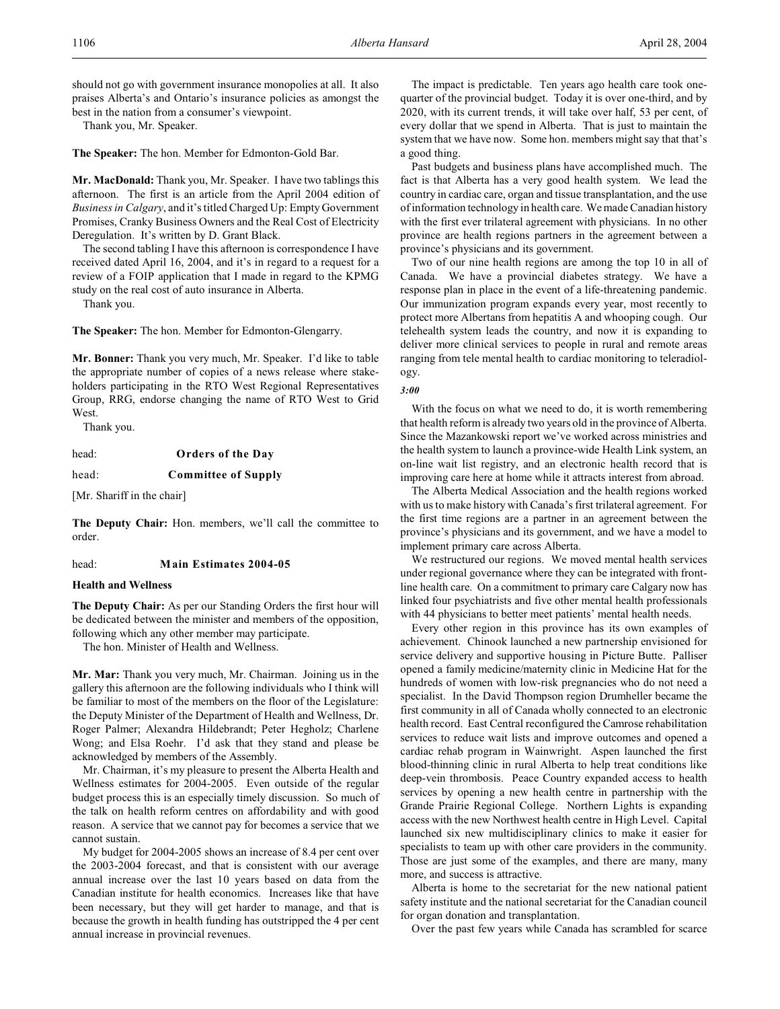should not go with government insurance monopolies at all. It also praises Alberta's and Ontario's insurance policies as amongst the best in the nation from a consumer's viewpoint.

Thank you, Mr. Speaker.

**The Speaker:** The hon. Member for Edmonton-Gold Bar.

**Mr. MacDonald:** Thank you, Mr. Speaker. I have two tablings this afternoon. The first is an article from the April 2004 edition of *Business in Calgary*, and it's titled Charged Up: Empty Government Promises, Cranky Business Owners and the Real Cost of Electricity Deregulation. It's written by D. Grant Black.

The second tabling I have this afternoon is correspondence I have received dated April 16, 2004, and it's in regard to a request for a review of a FOIP application that I made in regard to the KPMG study on the real cost of auto insurance in Alberta.

Thank you.

**The Speaker:** The hon. Member for Edmonton-Glengarry.

**Mr. Bonner:** Thank you very much, Mr. Speaker. I'd like to table the appropriate number of copies of a news release where stakeholders participating in the RTO West Regional Representatives Group, RRG, endorse changing the name of RTO West to Grid West.

Thank you.

head: **Orders of the Day**

head: **Committee of Supply**

[Mr. Shariff in the chair]

**The Deputy Chair:** Hon. members, we'll call the committee to order.

#### head: **Main Estimates 2004-05**

## **Health and Wellness**

**The Deputy Chair:** As per our Standing Orders the first hour will be dedicated between the minister and members of the opposition, following which any other member may participate.

The hon. Minister of Health and Wellness.

**Mr. Mar:** Thank you very much, Mr. Chairman. Joining us in the gallery this afternoon are the following individuals who I think will be familiar to most of the members on the floor of the Legislature: the Deputy Minister of the Department of Health and Wellness, Dr. Roger Palmer; Alexandra Hildebrandt; Peter Hegholz; Charlene Wong; and Elsa Roehr. I'd ask that they stand and please be acknowledged by members of the Assembly.

Mr. Chairman, it's my pleasure to present the Alberta Health and Wellness estimates for 2004-2005. Even outside of the regular budget process this is an especially timely discussion. So much of the talk on health reform centres on affordability and with good reason. A service that we cannot pay for becomes a service that we cannot sustain.

My budget for 2004-2005 shows an increase of 8.4 per cent over the 2003-2004 forecast, and that is consistent with our average annual increase over the last 10 years based on data from the Canadian institute for health economics. Increases like that have been necessary, but they will get harder to manage, and that is because the growth in health funding has outstripped the 4 per cent annual increase in provincial revenues.

The impact is predictable. Ten years ago health care took onequarter of the provincial budget. Today it is over one-third, and by 2020, with its current trends, it will take over half, 53 per cent, of every dollar that we spend in Alberta. That is just to maintain the system that we have now. Some hon. members might say that that's a good thing.

Past budgets and business plans have accomplished much. The fact is that Alberta has a very good health system. We lead the country in cardiac care, organ and tissue transplantation, and the use of information technology in health care. We made Canadian history with the first ever trilateral agreement with physicians. In no other province are health regions partners in the agreement between a province's physicians and its government.

Two of our nine health regions are among the top 10 in all of Canada. We have a provincial diabetes strategy. We have a response plan in place in the event of a life-threatening pandemic. Our immunization program expands every year, most recently to protect more Albertans from hepatitis A and whooping cough. Our telehealth system leads the country, and now it is expanding to deliver more clinical services to people in rural and remote areas ranging from tele mental health to cardiac monitoring to teleradiology.

*3:00*

With the focus on what we need to do, it is worth remembering that health reform is already two years old in the province of Alberta. Since the Mazankowski report we've worked across ministries and the health system to launch a province-wide Health Link system, an on-line wait list registry, and an electronic health record that is improving care here at home while it attracts interest from abroad.

The Alberta Medical Association and the health regions worked with us to make history with Canada's first trilateral agreement. For the first time regions are a partner in an agreement between the province's physicians and its government, and we have a model to implement primary care across Alberta.

We restructured our regions. We moved mental health services under regional governance where they can be integrated with frontline health care. On a commitment to primary care Calgary now has linked four psychiatrists and five other mental health professionals with 44 physicians to better meet patients' mental health needs.

Every other region in this province has its own examples of achievement. Chinook launched a new partnership envisioned for service delivery and supportive housing in Picture Butte. Palliser opened a family medicine/maternity clinic in Medicine Hat for the hundreds of women with low-risk pregnancies who do not need a specialist. In the David Thompson region Drumheller became the first community in all of Canada wholly connected to an electronic health record. East Central reconfigured the Camrose rehabilitation services to reduce wait lists and improve outcomes and opened a cardiac rehab program in Wainwright. Aspen launched the first blood-thinning clinic in rural Alberta to help treat conditions like deep-vein thrombosis. Peace Country expanded access to health services by opening a new health centre in partnership with the Grande Prairie Regional College. Northern Lights is expanding access with the new Northwest health centre in High Level. Capital launched six new multidisciplinary clinics to make it easier for specialists to team up with other care providers in the community. Those are just some of the examples, and there are many, many more, and success is attractive.

Alberta is home to the secretariat for the new national patient safety institute and the national secretariat for the Canadian council for organ donation and transplantation.

Over the past few years while Canada has scrambled for scarce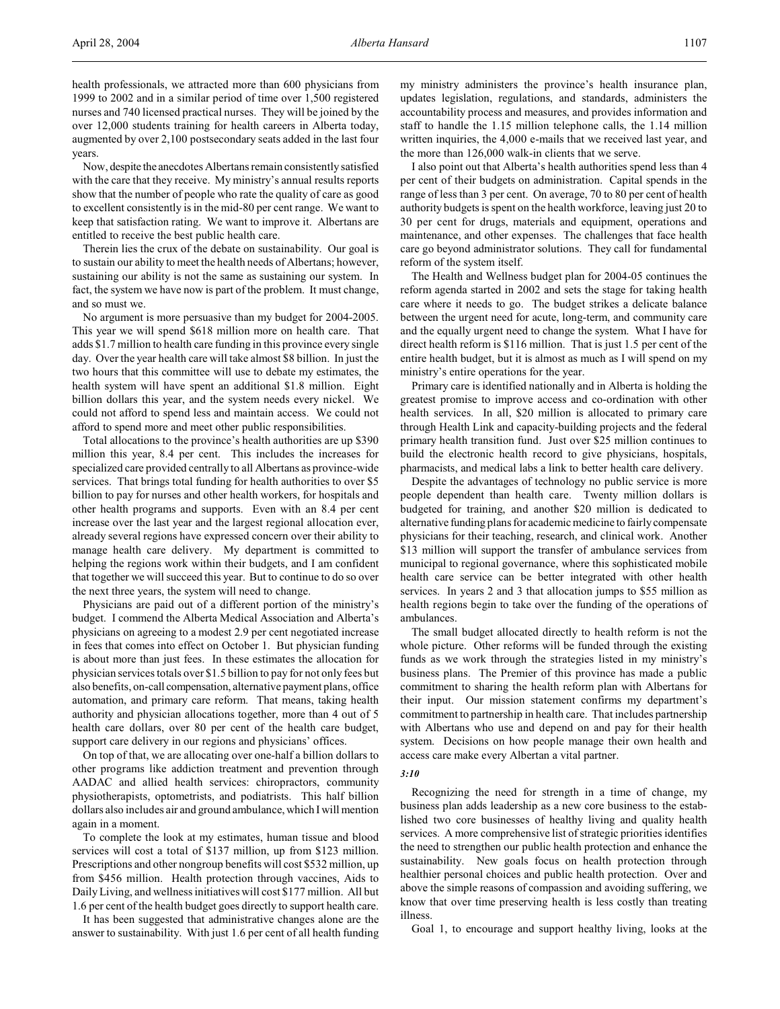health professionals, we attracted more than 600 physicians from 1999 to 2002 and in a similar period of time over 1,500 registered nurses and 740 licensed practical nurses. They will be joined by the over 12,000 students training for health careers in Alberta today, augmented by over 2,100 postsecondary seats added in the last four years.

Now, despite the anecdotes Albertans remain consistently satisfied with the care that they receive. My ministry's annual results reports show that the number of people who rate the quality of care as good to excellent consistently is in the mid-80 per cent range. We want to keep that satisfaction rating. We want to improve it. Albertans are entitled to receive the best public health care.

Therein lies the crux of the debate on sustainability. Our goal is to sustain our ability to meet the health needs of Albertans; however, sustaining our ability is not the same as sustaining our system. In fact, the system we have now is part of the problem. It must change, and so must we.

No argument is more persuasive than my budget for 2004-2005. This year we will spend \$618 million more on health care. That adds \$1.7 million to health care funding in this province every single day. Over the year health care will take almost \$8 billion. In just the two hours that this committee will use to debate my estimates, the health system will have spent an additional \$1.8 million. Eight billion dollars this year, and the system needs every nickel. We could not afford to spend less and maintain access. We could not afford to spend more and meet other public responsibilities.

Total allocations to the province's health authorities are up \$390 million this year, 8.4 per cent. This includes the increases for specialized care provided centrally to all Albertans as province-wide services. That brings total funding for health authorities to over \$5 billion to pay for nurses and other health workers, for hospitals and other health programs and supports. Even with an 8.4 per cent increase over the last year and the largest regional allocation ever, already several regions have expressed concern over their ability to manage health care delivery. My department is committed to helping the regions work within their budgets, and I am confident that together we will succeed this year. But to continue to do so over the next three years, the system will need to change.

Physicians are paid out of a different portion of the ministry's budget. I commend the Alberta Medical Association and Alberta's physicians on agreeing to a modest 2.9 per cent negotiated increase in fees that comes into effect on October 1. But physician funding is about more than just fees. In these estimates the allocation for physician services totals over \$1.5 billion to pay for not only fees but also benefits, on-call compensation, alternative payment plans, office automation, and primary care reform. That means, taking health authority and physician allocations together, more than 4 out of 5 health care dollars, over 80 per cent of the health care budget, support care delivery in our regions and physicians' offices.

On top of that, we are allocating over one-half a billion dollars to other programs like addiction treatment and prevention through AADAC and allied health services: chiropractors, community physiotherapists, optometrists, and podiatrists. This half billion dollars also includes air and ground ambulance, which I will mention again in a moment.

To complete the look at my estimates, human tissue and blood services will cost a total of \$137 million, up from \$123 million. Prescriptions and other nongroup benefits will cost \$532 million, up from \$456 million. Health protection through vaccines, Aids to Daily Living, and wellness initiatives will cost \$177 million. All but 1.6 per cent of the health budget goes directly to support health care.

It has been suggested that administrative changes alone are the answer to sustainability. With just 1.6 per cent of all health funding my ministry administers the province's health insurance plan, updates legislation, regulations, and standards, administers the accountability process and measures, and provides information and staff to handle the 1.15 million telephone calls, the 1.14 million written inquiries, the 4,000 e-mails that we received last year, and the more than 126,000 walk-in clients that we serve.

I also point out that Alberta's health authorities spend less than 4 per cent of their budgets on administration. Capital spends in the range of less than 3 per cent. On average, 70 to 80 per cent of health authority budgets is spent on the health workforce, leaving just 20 to 30 per cent for drugs, materials and equipment, operations and maintenance, and other expenses. The challenges that face health care go beyond administrator solutions. They call for fundamental reform of the system itself.

The Health and Wellness budget plan for 2004-05 continues the reform agenda started in 2002 and sets the stage for taking health care where it needs to go. The budget strikes a delicate balance between the urgent need for acute, long-term, and community care and the equally urgent need to change the system. What I have for direct health reform is \$116 million. That is just 1.5 per cent of the entire health budget, but it is almost as much as I will spend on my ministry's entire operations for the year.

Primary care is identified nationally and in Alberta is holding the greatest promise to improve access and co-ordination with other health services. In all, \$20 million is allocated to primary care through Health Link and capacity-building projects and the federal primary health transition fund. Just over \$25 million continues to build the electronic health record to give physicians, hospitals, pharmacists, and medical labs a link to better health care delivery.

Despite the advantages of technology no public service is more people dependent than health care. Twenty million dollars is budgeted for training, and another \$20 million is dedicated to alternative funding plans for academic medicine to fairly compensate physicians for their teaching, research, and clinical work. Another \$13 million will support the transfer of ambulance services from municipal to regional governance, where this sophisticated mobile health care service can be better integrated with other health services. In years 2 and 3 that allocation jumps to \$55 million as health regions begin to take over the funding of the operations of ambulances.

The small budget allocated directly to health reform is not the whole picture. Other reforms will be funded through the existing funds as we work through the strategies listed in my ministry's business plans. The Premier of this province has made a public commitment to sharing the health reform plan with Albertans for their input. Our mission statement confirms my department's commitment to partnership in health care. That includes partnership with Albertans who use and depend on and pay for their health system. Decisions on how people manage their own health and access care make every Albertan a vital partner.

#### *3:10*

Recognizing the need for strength in a time of change, my business plan adds leadership as a new core business to the established two core businesses of healthy living and quality health services. A more comprehensive list of strategic priorities identifies the need to strengthen our public health protection and enhance the sustainability. New goals focus on health protection through healthier personal choices and public health protection. Over and above the simple reasons of compassion and avoiding suffering, we know that over time preserving health is less costly than treating illness.

Goal 1, to encourage and support healthy living, looks at the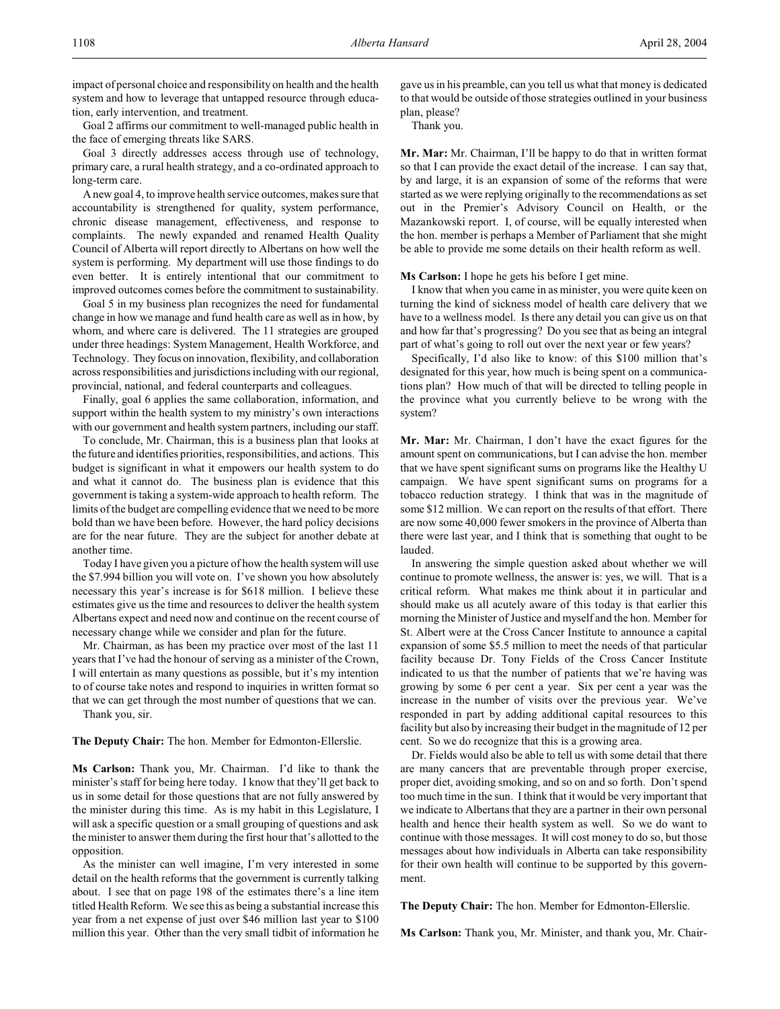impact of personal choice and responsibility on health and the health system and how to leverage that untapped resource through education, early intervention, and treatment.

Goal 2 affirms our commitment to well-managed public health in the face of emerging threats like SARS.

Goal 3 directly addresses access through use of technology, primary care, a rural health strategy, and a co-ordinated approach to long-term care.

A new goal 4, to improve health service outcomes, makes sure that accountability is strengthened for quality, system performance, chronic disease management, effectiveness, and response to complaints. The newly expanded and renamed Health Quality Council of Alberta will report directly to Albertans on how well the system is performing. My department will use those findings to do even better. It is entirely intentional that our commitment to improved outcomes comes before the commitment to sustainability.

Goal 5 in my business plan recognizes the need for fundamental change in how we manage and fund health care as well as in how, by whom, and where care is delivered. The 11 strategies are grouped under three headings: System Management, Health Workforce, and Technology. They focus on innovation, flexibility, and collaboration across responsibilities and jurisdictions including with our regional, provincial, national, and federal counterparts and colleagues.

Finally, goal 6 applies the same collaboration, information, and support within the health system to my ministry's own interactions with our government and health system partners, including our staff.

To conclude, Mr. Chairman, this is a business plan that looks at the future and identifies priorities, responsibilities, and actions. This budget is significant in what it empowers our health system to do and what it cannot do. The business plan is evidence that this government is taking a system-wide approach to health reform. The limits of the budget are compelling evidence that we need to be more bold than we have been before. However, the hard policy decisions are for the near future. They are the subject for another debate at another time.

Today I have given you a picture of how the health system will use the \$7.994 billion you will vote on. I've shown you how absolutely necessary this year's increase is for \$618 million. I believe these estimates give us the time and resources to deliver the health system Albertans expect and need now and continue on the recent course of necessary change while we consider and plan for the future.

Mr. Chairman, as has been my practice over most of the last 11 years that I've had the honour of serving as a minister of the Crown, I will entertain as many questions as possible, but it's my intention to of course take notes and respond to inquiries in written format so that we can get through the most number of questions that we can. Thank you, sir.

**The Deputy Chair:** The hon. Member for Edmonton-Ellerslie.

**Ms Carlson:** Thank you, Mr. Chairman. I'd like to thank the minister's staff for being here today. I know that they'll get back to us in some detail for those questions that are not fully answered by the minister during this time. As is my habit in this Legislature, I will ask a specific question or a small grouping of questions and ask the minister to answer them during the first hour that's allotted to the opposition.

As the minister can well imagine, I'm very interested in some detail on the health reforms that the government is currently talking about. I see that on page 198 of the estimates there's a line item titled Health Reform. We see this as being a substantial increase this year from a net expense of just over \$46 million last year to \$100 million this year. Other than the very small tidbit of information he

gave us in his preamble, can you tell us what that money is dedicated to that would be outside of those strategies outlined in your business plan, please?

Thank you.

**Mr. Mar:** Mr. Chairman, I'll be happy to do that in written format so that I can provide the exact detail of the increase. I can say that, by and large, it is an expansion of some of the reforms that were started as we were replying originally to the recommendations as set out in the Premier's Advisory Council on Health, or the Mazankowski report. I, of course, will be equally interested when the hon. member is perhaps a Member of Parliament that she might be able to provide me some details on their health reform as well.

**Ms Carlson:** I hope he gets his before I get mine.

I know that when you came in as minister, you were quite keen on turning the kind of sickness model of health care delivery that we have to a wellness model. Is there any detail you can give us on that and how far that's progressing? Do you see that as being an integral part of what's going to roll out over the next year or few years?

Specifically, I'd also like to know: of this \$100 million that's designated for this year, how much is being spent on a communications plan? How much of that will be directed to telling people in the province what you currently believe to be wrong with the system?

**Mr. Mar:** Mr. Chairman, I don't have the exact figures for the amount spent on communications, but I can advise the hon. member that we have spent significant sums on programs like the Healthy U campaign. We have spent significant sums on programs for a tobacco reduction strategy. I think that was in the magnitude of some \$12 million. We can report on the results of that effort. There are now some 40,000 fewer smokers in the province of Alberta than there were last year, and I think that is something that ought to be lauded.

In answering the simple question asked about whether we will continue to promote wellness, the answer is: yes, we will. That is a critical reform. What makes me think about it in particular and should make us all acutely aware of this today is that earlier this morning the Minister of Justice and myself and the hon. Member for St. Albert were at the Cross Cancer Institute to announce a capital expansion of some \$5.5 million to meet the needs of that particular facility because Dr. Tony Fields of the Cross Cancer Institute indicated to us that the number of patients that we're having was growing by some 6 per cent a year. Six per cent a year was the increase in the number of visits over the previous year. We've responded in part by adding additional capital resources to this facility but also by increasing their budget in the magnitude of 12 per cent. So we do recognize that this is a growing area.

Dr. Fields would also be able to tell us with some detail that there are many cancers that are preventable through proper exercise, proper diet, avoiding smoking, and so on and so forth. Don't spend too much time in the sun. I think that it would be very important that we indicate to Albertans that they are a partner in their own personal health and hence their health system as well. So we do want to continue with those messages. It will cost money to do so, but those messages about how individuals in Alberta can take responsibility for their own health will continue to be supported by this government.

**The Deputy Chair:** The hon. Member for Edmonton-Ellerslie.

**Ms Carlson:** Thank you, Mr. Minister, and thank you, Mr. Chair-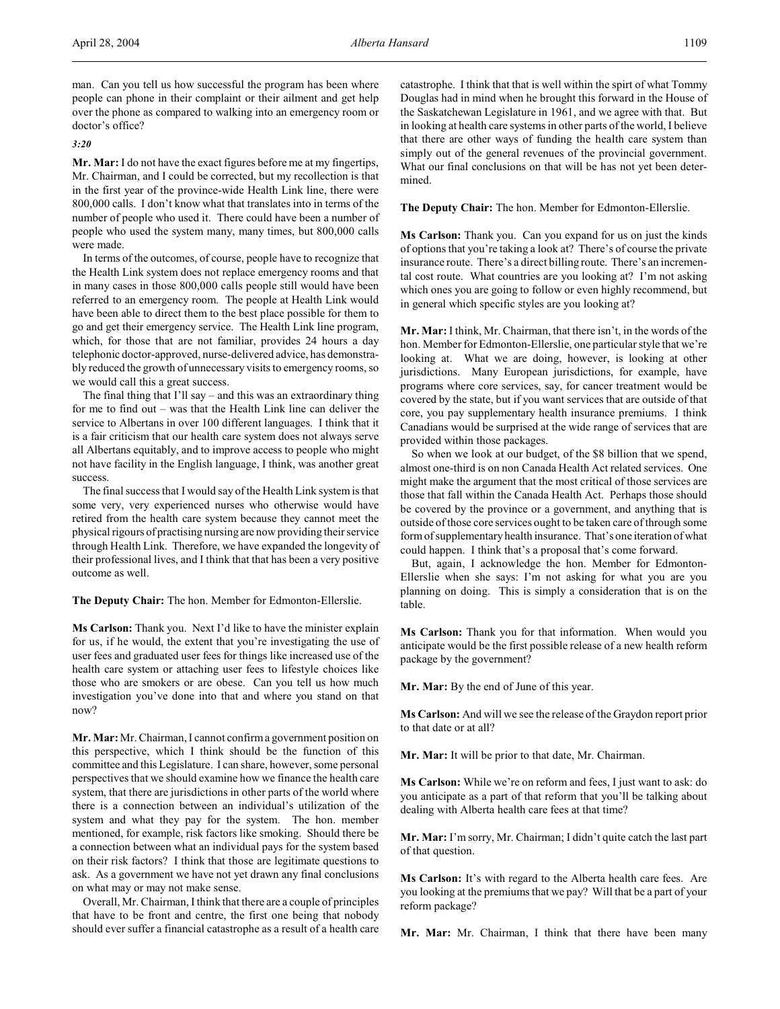man. Can you tell us how successful the program has been where people can phone in their complaint or their ailment and get help over the phone as compared to walking into an emergency room or doctor's office?

## *3:20*

**Mr. Mar:** I do not have the exact figures before me at my fingertips, Mr. Chairman, and I could be corrected, but my recollection is that in the first year of the province-wide Health Link line, there were 800,000 calls. I don't know what that translates into in terms of the number of people who used it. There could have been a number of people who used the system many, many times, but 800,000 calls were made.

In terms of the outcomes, of course, people have to recognize that the Health Link system does not replace emergency rooms and that in many cases in those 800,000 calls people still would have been referred to an emergency room. The people at Health Link would have been able to direct them to the best place possible for them to go and get their emergency service. The Health Link line program, which, for those that are not familiar, provides 24 hours a day telephonic doctor-approved, nurse-delivered advice, has demonstrably reduced the growth of unnecessary visits to emergency rooms, so we would call this a great success.

The final thing that I'll say – and this was an extraordinary thing for me to find out – was that the Health Link line can deliver the service to Albertans in over 100 different languages. I think that it is a fair criticism that our health care system does not always serve all Albertans equitably, and to improve access to people who might not have facility in the English language, I think, was another great success.

The final success that I would say of the Health Link system is that some very, very experienced nurses who otherwise would have retired from the health care system because they cannot meet the physical rigours of practising nursing are now providing their service through Health Link. Therefore, we have expanded the longevity of their professional lives, and I think that that has been a very positive outcome as well.

**The Deputy Chair:** The hon. Member for Edmonton-Ellerslie.

**Ms Carlson:** Thank you. Next I'd like to have the minister explain for us, if he would, the extent that you're investigating the use of user fees and graduated user fees for things like increased use of the health care system or attaching user fees to lifestyle choices like those who are smokers or are obese. Can you tell us how much investigation you've done into that and where you stand on that now?

**Mr. Mar:**Mr. Chairman, I cannot confirm a government position on this perspective, which I think should be the function of this committee and this Legislature. I can share, however, some personal perspectives that we should examine how we finance the health care system, that there are jurisdictions in other parts of the world where there is a connection between an individual's utilization of the system and what they pay for the system. The hon. member mentioned, for example, risk factors like smoking. Should there be a connection between what an individual pays for the system based on their risk factors? I think that those are legitimate questions to ask. As a government we have not yet drawn any final conclusions on what may or may not make sense.

Overall, Mr. Chairman, I think that there are a couple of principles that have to be front and centre, the first one being that nobody should ever suffer a financial catastrophe as a result of a health care catastrophe. I think that that is well within the spirt of what Tommy Douglas had in mind when he brought this forward in the House of the Saskatchewan Legislature in 1961, and we agree with that. But in looking at health care systems in other parts of the world, I believe that there are other ways of funding the health care system than simply out of the general revenues of the provincial government. What our final conclusions on that will be has not yet been determined.

**The Deputy Chair:** The hon. Member for Edmonton-Ellerslie.

**Ms Carlson:** Thank you. Can you expand for us on just the kinds of options that you're taking a look at? There's of course the private insurance route. There's a direct billing route. There's an incremental cost route. What countries are you looking at? I'm not asking which ones you are going to follow or even highly recommend, but in general which specific styles are you looking at?

**Mr. Mar:** I think, Mr. Chairman, that there isn't, in the words of the hon. Member for Edmonton-Ellerslie, one particular style that we're looking at. What we are doing, however, is looking at other jurisdictions. Many European jurisdictions, for example, have programs where core services, say, for cancer treatment would be covered by the state, but if you want services that are outside of that core, you pay supplementary health insurance premiums. I think Canadians would be surprised at the wide range of services that are provided within those packages.

So when we look at our budget, of the \$8 billion that we spend, almost one-third is on non Canada Health Act related services. One might make the argument that the most critical of those services are those that fall within the Canada Health Act. Perhaps those should be covered by the province or a government, and anything that is outside of those core services ought to be taken care of through some form of supplementary health insurance. That's one iteration of what could happen. I think that's a proposal that's come forward.

But, again, I acknowledge the hon. Member for Edmonton-Ellerslie when she says: I'm not asking for what you are you planning on doing. This is simply a consideration that is on the table.

**Ms Carlson:** Thank you for that information. When would you anticipate would be the first possible release of a new health reform package by the government?

**Mr. Mar:** By the end of June of this year.

**Ms Carlson:** And will we see the release of the Graydon report prior to that date or at all?

**Mr. Mar:** It will be prior to that date, Mr. Chairman.

**Ms Carlson:** While we're on reform and fees, I just want to ask: do you anticipate as a part of that reform that you'll be talking about dealing with Alberta health care fees at that time?

**Mr. Mar:** I'm sorry, Mr. Chairman; I didn't quite catch the last part of that question.

**Ms Carlson:** It's with regard to the Alberta health care fees. Are you looking at the premiums that we pay? Will that be a part of your reform package?

**Mr. Mar:** Mr. Chairman, I think that there have been many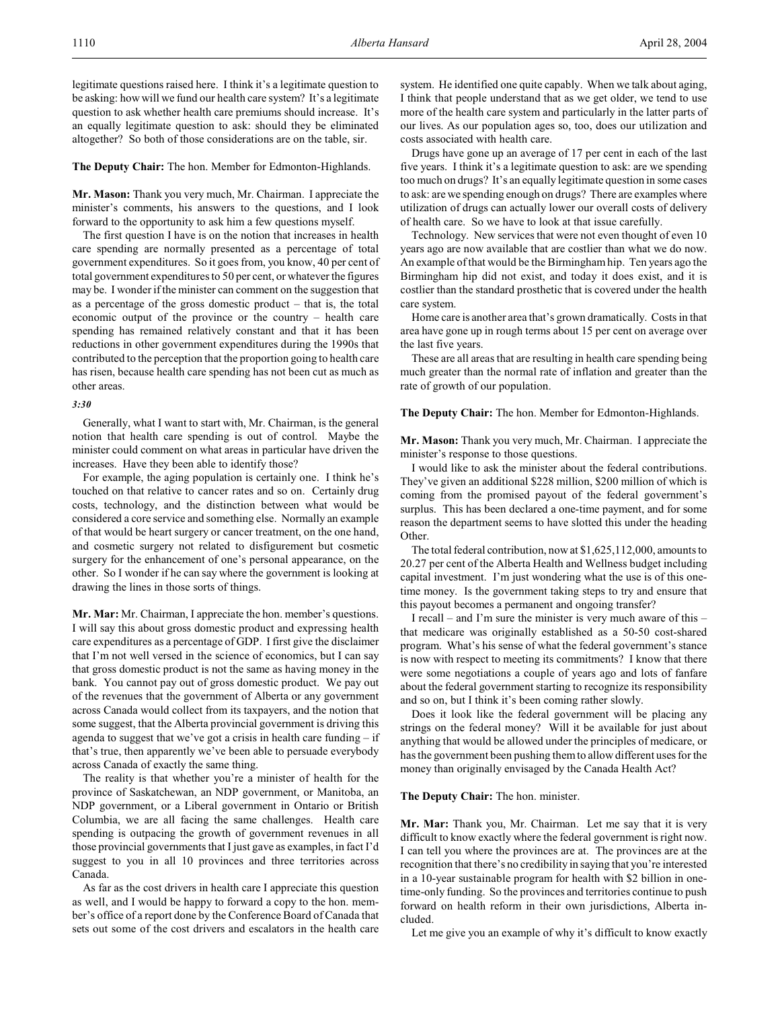legitimate questions raised here. I think it's a legitimate question to be asking: how will we fund our health care system? It's a legitimate question to ask whether health care premiums should increase. It's an equally legitimate question to ask: should they be eliminated altogether? So both of those considerations are on the table, sir.

#### **The Deputy Chair:** The hon. Member for Edmonton-Highlands.

**Mr. Mason:** Thank you very much, Mr. Chairman. I appreciate the minister's comments, his answers to the questions, and I look forward to the opportunity to ask him a few questions myself.

The first question I have is on the notion that increases in health care spending are normally presented as a percentage of total government expenditures. So it goes from, you know, 40 per cent of total government expenditures to 50 per cent, or whatever the figures may be. I wonder if the minister can comment on the suggestion that as a percentage of the gross domestic product – that is, the total economic output of the province or the country – health care spending has remained relatively constant and that it has been reductions in other government expenditures during the 1990s that contributed to the perception that the proportion going to health care has risen, because health care spending has not been cut as much as other areas.

## *3:30*

Generally, what I want to start with, Mr. Chairman, is the general notion that health care spending is out of control. Maybe the minister could comment on what areas in particular have driven the increases. Have they been able to identify those?

For example, the aging population is certainly one. I think he's touched on that relative to cancer rates and so on. Certainly drug costs, technology, and the distinction between what would be considered a core service and something else. Normally an example of that would be heart surgery or cancer treatment, on the one hand, and cosmetic surgery not related to disfigurement but cosmetic surgery for the enhancement of one's personal appearance, on the other. So I wonder if he can say where the government is looking at drawing the lines in those sorts of things.

**Mr. Mar:** Mr. Chairman, I appreciate the hon. member's questions. I will say this about gross domestic product and expressing health care expenditures as a percentage of GDP. I first give the disclaimer that I'm not well versed in the science of economics, but I can say that gross domestic product is not the same as having money in the bank. You cannot pay out of gross domestic product. We pay out of the revenues that the government of Alberta or any government across Canada would collect from its taxpayers, and the notion that some suggest, that the Alberta provincial government is driving this agenda to suggest that we've got a crisis in health care funding – if that's true, then apparently we've been able to persuade everybody across Canada of exactly the same thing.

The reality is that whether you're a minister of health for the province of Saskatchewan, an NDP government, or Manitoba, an NDP government, or a Liberal government in Ontario or British Columbia, we are all facing the same challenges. Health care spending is outpacing the growth of government revenues in all those provincial governments that I just gave as examples, in fact I'd suggest to you in all 10 provinces and three territories across Canada.

As far as the cost drivers in health care I appreciate this question as well, and I would be happy to forward a copy to the hon. member's office of a report done by the Conference Board of Canada that sets out some of the cost drivers and escalators in the health care

system. He identified one quite capably. When we talk about aging, I think that people understand that as we get older, we tend to use more of the health care system and particularly in the latter parts of our lives. As our population ages so, too, does our utilization and costs associated with health care.

Drugs have gone up an average of 17 per cent in each of the last five years. I think it's a legitimate question to ask: are we spending too much on drugs? It's an equally legitimate question in some cases to ask: are we spending enough on drugs? There are examples where utilization of drugs can actually lower our overall costs of delivery of health care. So we have to look at that issue carefully.

Technology. New services that were not even thought of even 10 years ago are now available that are costlier than what we do now. An example of that would be the Birmingham hip. Ten years ago the Birmingham hip did not exist, and today it does exist, and it is costlier than the standard prosthetic that is covered under the health care system.

Home care is another area that's grown dramatically. Costs in that area have gone up in rough terms about 15 per cent on average over the last five years.

These are all areas that are resulting in health care spending being much greater than the normal rate of inflation and greater than the rate of growth of our population.

**The Deputy Chair:** The hon. Member for Edmonton-Highlands.

**Mr. Mason:** Thank you very much, Mr. Chairman. I appreciate the minister's response to those questions.

I would like to ask the minister about the federal contributions. They've given an additional \$228 million, \$200 million of which is coming from the promised payout of the federal government's surplus. This has been declared a one-time payment, and for some reason the department seems to have slotted this under the heading Other.

The total federal contribution, now at \$1,625,112,000, amounts to 20.27 per cent of the Alberta Health and Wellness budget including capital investment. I'm just wondering what the use is of this onetime money. Is the government taking steps to try and ensure that this payout becomes a permanent and ongoing transfer?

I recall – and I'm sure the minister is very much aware of this – that medicare was originally established as a 50-50 cost-shared program. What's his sense of what the federal government's stance is now with respect to meeting its commitments? I know that there were some negotiations a couple of years ago and lots of fanfare about the federal government starting to recognize its responsibility and so on, but I think it's been coming rather slowly.

Does it look like the federal government will be placing any strings on the federal money? Will it be available for just about anything that would be allowed under the principles of medicare, or has the government been pushing them to allow different uses for the money than originally envisaged by the Canada Health Act?

## **The Deputy Chair:** The hon. minister.

**Mr. Mar:** Thank you, Mr. Chairman. Let me say that it is very difficult to know exactly where the federal government is right now. I can tell you where the provinces are at. The provinces are at the recognition that there's no credibility in saying that you're interested in a 10-year sustainable program for health with \$2 billion in onetime-only funding. So the provinces and territories continue to push forward on health reform in their own jurisdictions, Alberta included.

Let me give you an example of why it's difficult to know exactly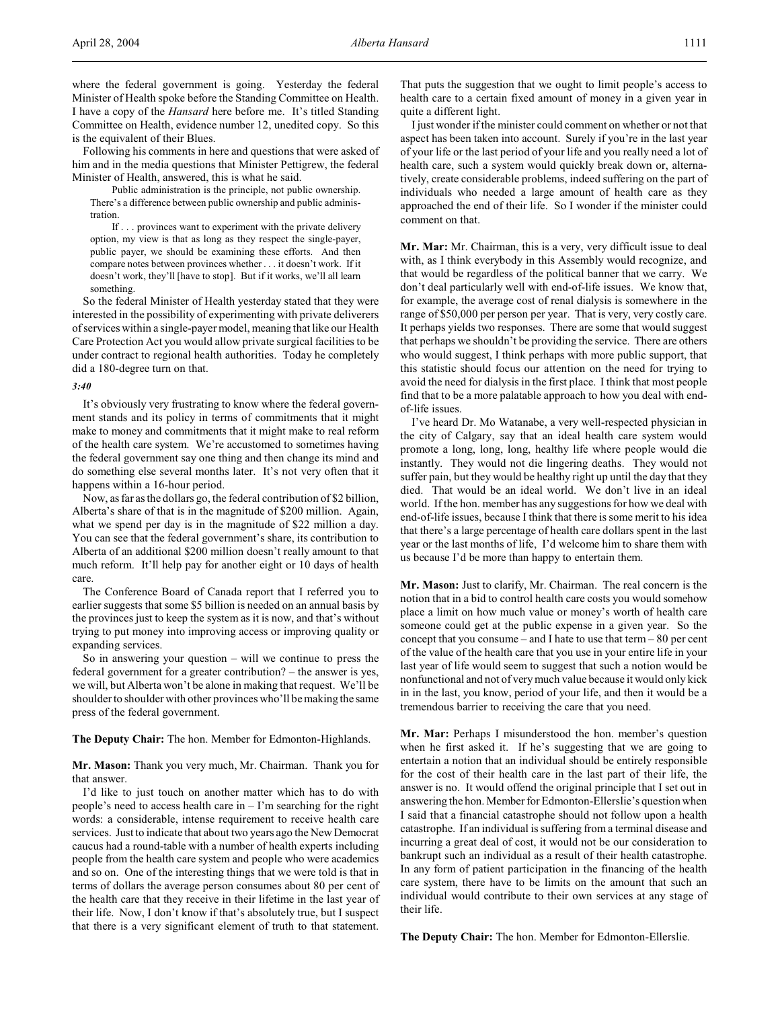where the federal government is going. Yesterday the federal Minister of Health spoke before the Standing Committee on Health. I have a copy of the *Hansard* here before me. It's titled Standing Committee on Health, evidence number 12, unedited copy. So this is the equivalent of their Blues.

Following his comments in here and questions that were asked of him and in the media questions that Minister Pettigrew, the federal Minister of Health, answered, this is what he said.

Public administration is the principle, not public ownership. There's a difference between public ownership and public administration.

If . . . provinces want to experiment with the private delivery option, my view is that as long as they respect the single-payer, public payer, we should be examining these efforts. And then compare notes between provinces whether . . . it doesn't work. If it doesn't work, they'll [have to stop]. But if it works, we'll all learn something.

So the federal Minister of Health yesterday stated that they were interested in the possibility of experimenting with private deliverers of services within a single-payer model, meaning that like our Health Care Protection Act you would allow private surgical facilities to be under contract to regional health authorities. Today he completely did a 180-degree turn on that.

#### *3:40*

It's obviously very frustrating to know where the federal government stands and its policy in terms of commitments that it might make to money and commitments that it might make to real reform of the health care system. We're accustomed to sometimes having the federal government say one thing and then change its mind and do something else several months later. It's not very often that it happens within a 16-hour period.

Now, as far as the dollars go, the federal contribution of \$2 billion, Alberta's share of that is in the magnitude of \$200 million. Again, what we spend per day is in the magnitude of \$22 million a day. You can see that the federal government's share, its contribution to Alberta of an additional \$200 million doesn't really amount to that much reform. It'll help pay for another eight or 10 days of health care.

The Conference Board of Canada report that I referred you to earlier suggests that some \$5 billion is needed on an annual basis by the provinces just to keep the system as it is now, and that's without trying to put money into improving access or improving quality or expanding services.

So in answering your question – will we continue to press the federal government for a greater contribution? – the answer is yes, we will, but Alberta won't be alone in making that request. We'll be shoulder to shoulder with other provinces who'll be making the same press of the federal government.

**The Deputy Chair:** The hon. Member for Edmonton-Highlands.

**Mr. Mason:** Thank you very much, Mr. Chairman. Thank you for that answer.

I'd like to just touch on another matter which has to do with people's need to access health care in – I'm searching for the right words: a considerable, intense requirement to receive health care services. Just to indicate that about two years ago the New Democrat caucus had a round-table with a number of health experts including people from the health care system and people who were academics and so on. One of the interesting things that we were told is that in terms of dollars the average person consumes about 80 per cent of the health care that they receive in their lifetime in the last year of their life. Now, I don't know if that's absolutely true, but I suspect that there is a very significant element of truth to that statement.

That puts the suggestion that we ought to limit people's access to health care to a certain fixed amount of money in a given year in quite a different light.

I just wonder if the minister could comment on whether or not that aspect has been taken into account. Surely if you're in the last year of your life or the last period of your life and you really need a lot of health care, such a system would quickly break down or, alternatively, create considerable problems, indeed suffering on the part of individuals who needed a large amount of health care as they approached the end of their life. So I wonder if the minister could comment on that.

**Mr. Mar:** Mr. Chairman, this is a very, very difficult issue to deal with, as I think everybody in this Assembly would recognize, and that would be regardless of the political banner that we carry. We don't deal particularly well with end-of-life issues. We know that, for example, the average cost of renal dialysis is somewhere in the range of \$50,000 per person per year. That is very, very costly care. It perhaps yields two responses. There are some that would suggest that perhaps we shouldn't be providing the service. There are others who would suggest, I think perhaps with more public support, that this statistic should focus our attention on the need for trying to avoid the need for dialysis in the first place. I think that most people find that to be a more palatable approach to how you deal with endof-life issues.

I've heard Dr. Mo Watanabe, a very well-respected physician in the city of Calgary, say that an ideal health care system would promote a long, long, long, healthy life where people would die instantly. They would not die lingering deaths. They would not suffer pain, but they would be healthy right up until the day that they died. That would be an ideal world. We don't live in an ideal world. If the hon. member has any suggestions for how we deal with end-of-life issues, because I think that there is some merit to his idea that there's a large percentage of health care dollars spent in the last year or the last months of life, I'd welcome him to share them with us because I'd be more than happy to entertain them.

**Mr. Mason:** Just to clarify, Mr. Chairman. The real concern is the notion that in a bid to control health care costs you would somehow place a limit on how much value or money's worth of health care someone could get at the public expense in a given year. So the concept that you consume – and I hate to use that term  $-80$  per cent of the value of the health care that you use in your entire life in your last year of life would seem to suggest that such a notion would be nonfunctional and not of very much value because it would only kick in in the last, you know, period of your life, and then it would be a tremendous barrier to receiving the care that you need.

**Mr. Mar:** Perhaps I misunderstood the hon. member's question when he first asked it. If he's suggesting that we are going to entertain a notion that an individual should be entirely responsible for the cost of their health care in the last part of their life, the answer is no. It would offend the original principle that I set out in answering the hon. Member for Edmonton-Ellerslie's question when I said that a financial catastrophe should not follow upon a health catastrophe. If an individual is suffering from a terminal disease and incurring a great deal of cost, it would not be our consideration to bankrupt such an individual as a result of their health catastrophe. In any form of patient participation in the financing of the health care system, there have to be limits on the amount that such an individual would contribute to their own services at any stage of their life.

**The Deputy Chair:** The hon. Member for Edmonton-Ellerslie.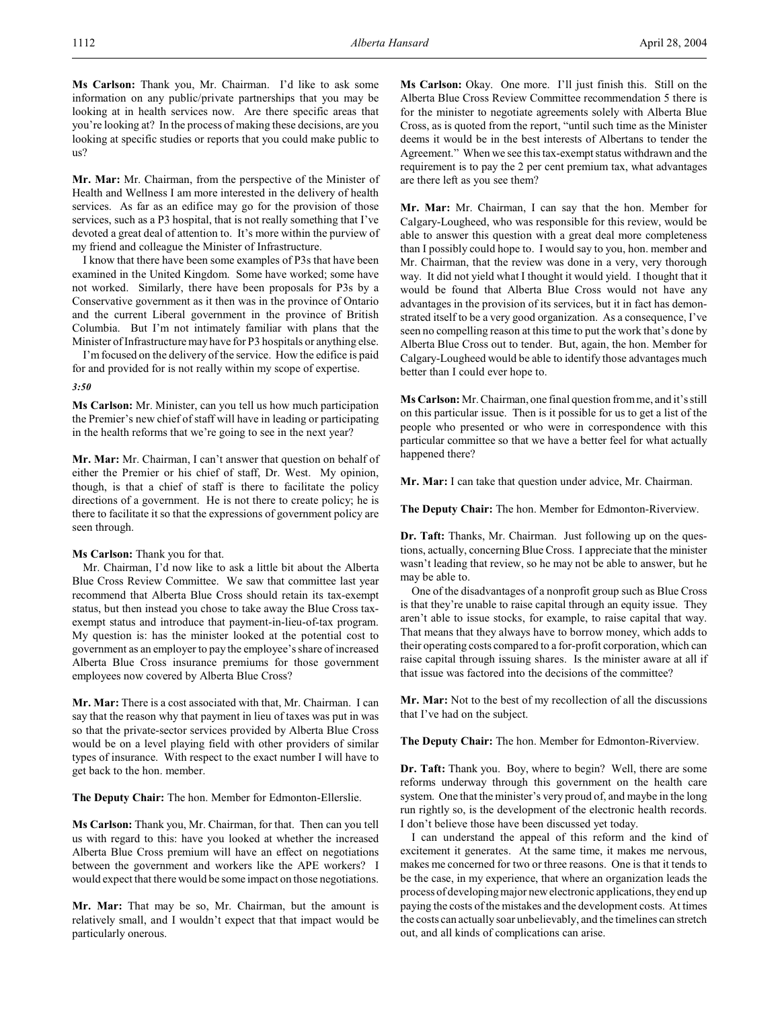**Ms Carlson:** Thank you, Mr. Chairman. I'd like to ask some information on any public/private partnerships that you may be looking at in health services now. Are there specific areas that you're looking at? In the process of making these decisions, are you looking at specific studies or reports that you could make public to us?

**Mr. Mar:** Mr. Chairman, from the perspective of the Minister of Health and Wellness I am more interested in the delivery of health services. As far as an edifice may go for the provision of those services, such as a P3 hospital, that is not really something that I've devoted a great deal of attention to. It's more within the purview of my friend and colleague the Minister of Infrastructure.

I know that there have been some examples of P3s that have been examined in the United Kingdom. Some have worked; some have not worked. Similarly, there have been proposals for P3s by a Conservative government as it then was in the province of Ontario and the current Liberal government in the province of British Columbia. But I'm not intimately familiar with plans that the Minister of Infrastructure may have for P3 hospitals or anything else.

I'mfocused on the delivery of the service. How the edifice is paid for and provided for is not really within my scope of expertise.

*3:50*

**Ms Carlson:** Mr. Minister, can you tell us how much participation the Premier's new chief of staff will have in leading or participating in the health reforms that we're going to see in the next year?

**Mr. Mar:** Mr. Chairman, I can't answer that question on behalf of either the Premier or his chief of staff, Dr. West. My opinion, though, is that a chief of staff is there to facilitate the policy directions of a government. He is not there to create policy; he is there to facilitate it so that the expressions of government policy are seen through.

#### **Ms Carlson:** Thank you for that.

Mr. Chairman, I'd now like to ask a little bit about the Alberta Blue Cross Review Committee. We saw that committee last year recommend that Alberta Blue Cross should retain its tax-exempt status, but then instead you chose to take away the Blue Cross taxexempt status and introduce that payment-in-lieu-of-tax program. My question is: has the minister looked at the potential cost to government as an employer to pay the employee's share of increased Alberta Blue Cross insurance premiums for those government employees now covered by Alberta Blue Cross?

**Mr. Mar:** There is a cost associated with that, Mr. Chairman. I can say that the reason why that payment in lieu of taxes was put in was so that the private-sector services provided by Alberta Blue Cross would be on a level playing field with other providers of similar types of insurance. With respect to the exact number I will have to get back to the hon. member.

**The Deputy Chair:** The hon. Member for Edmonton-Ellerslie.

**Ms Carlson:** Thank you, Mr. Chairman, for that. Then can you tell us with regard to this: have you looked at whether the increased Alberta Blue Cross premium will have an effect on negotiations between the government and workers like the APE workers? I would expect that there would be some impact on those negotiations.

**Mr. Mar:** That may be so, Mr. Chairman, but the amount is relatively small, and I wouldn't expect that that impact would be particularly onerous.

**Ms Carlson:** Okay. One more. I'll just finish this. Still on the Alberta Blue Cross Review Committee recommendation 5 there is for the minister to negotiate agreements solely with Alberta Blue Cross, as is quoted from the report, "until such time as the Minister deems it would be in the best interests of Albertans to tender the Agreement." When we see this tax-exempt status withdrawn and the requirement is to pay the 2 per cent premium tax, what advantages are there left as you see them?

**Mr. Mar:** Mr. Chairman, I can say that the hon. Member for Calgary-Lougheed, who was responsible for this review, would be able to answer this question with a great deal more completeness than I possibly could hope to. I would say to you, hon. member and Mr. Chairman, that the review was done in a very, very thorough way. It did not yield what I thought it would yield. I thought that it would be found that Alberta Blue Cross would not have any advantages in the provision of its services, but it in fact has demonstrated itself to be a very good organization. As a consequence, I've seen no compelling reason at this time to put the work that's done by Alberta Blue Cross out to tender. But, again, the hon. Member for Calgary-Lougheed would be able to identify those advantages much better than I could ever hope to.

**Ms Carlson:** Mr. Chairman, one final question from me, and it's still on this particular issue. Then is it possible for us to get a list of the people who presented or who were in correspondence with this particular committee so that we have a better feel for what actually happened there?

**Mr. Mar:** I can take that question under advice, Mr. Chairman.

**The Deputy Chair:** The hon. Member for Edmonton-Riverview.

**Dr. Taft:** Thanks, Mr. Chairman. Just following up on the questions, actually, concerning Blue Cross. I appreciate that the minister wasn't leading that review, so he may not be able to answer, but he may be able to.

One of the disadvantages of a nonprofit group such as Blue Cross is that they're unable to raise capital through an equity issue. They aren't able to issue stocks, for example, to raise capital that way. That means that they always have to borrow money, which adds to their operating costs compared to a for-profit corporation, which can raise capital through issuing shares. Is the minister aware at all if that issue was factored into the decisions of the committee?

**Mr. Mar:** Not to the best of my recollection of all the discussions that I've had on the subject.

**The Deputy Chair:** The hon. Member for Edmonton-Riverview.

**Dr. Taft:** Thank you. Boy, where to begin? Well, there are some reforms underway through this government on the health care system. One that the minister's very proud of, and maybe in the long run rightly so, is the development of the electronic health records. I don't believe those have been discussed yet today.

I can understand the appeal of this reform and the kind of excitement it generates. At the same time, it makes me nervous, makes me concerned for two or three reasons. One is that it tends to be the case, in my experience, that where an organization leads the process of developing major new electronic applications, they end up paying the costs of the mistakes and the development costs. At times the costs can actually soar unbelievably, and the timelines can stretch out, and all kinds of complications can arise.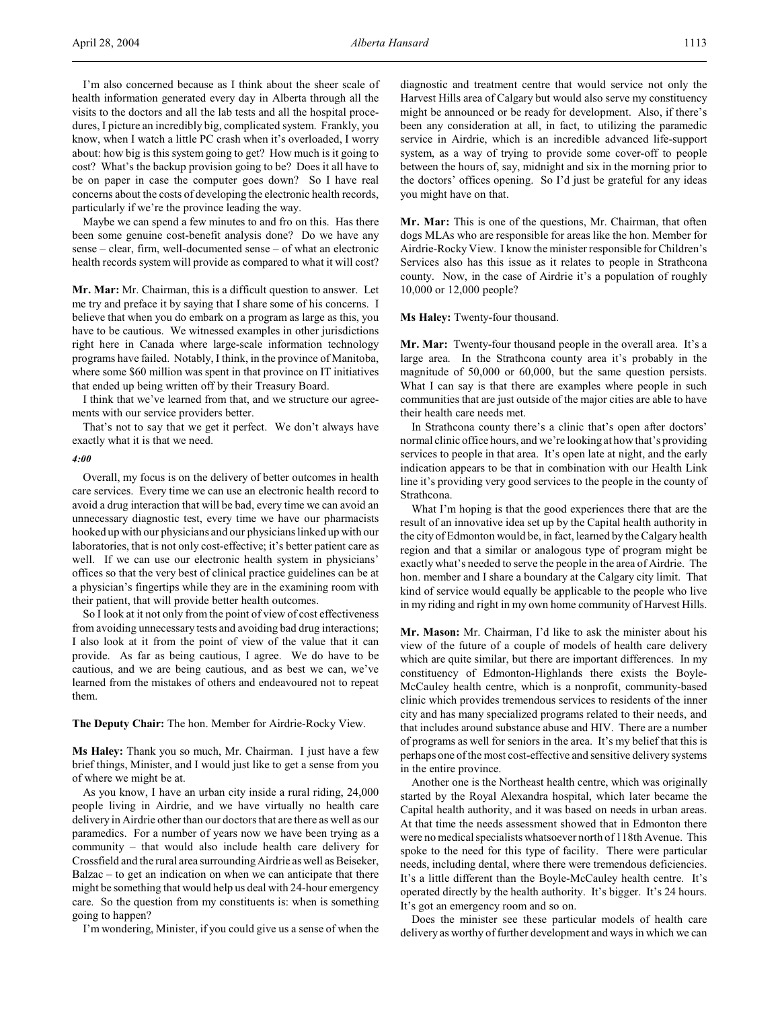I'm also concerned because as I think about the sheer scale of health information generated every day in Alberta through all the visits to the doctors and all the lab tests and all the hospital procedures, I picture an incredibly big, complicated system. Frankly, you know, when I watch a little PC crash when it's overloaded, I worry about: how big is this system going to get? How much is it going to cost? What's the backup provision going to be? Does it all have to be on paper in case the computer goes down? So I have real concerns about the costs of developing the electronic health records, particularly if we're the province leading the way.

Maybe we can spend a few minutes to and fro on this. Has there been some genuine cost-benefit analysis done? Do we have any sense – clear, firm, well-documented sense – of what an electronic health records system will provide as compared to what it will cost?

**Mr. Mar:** Mr. Chairman, this is a difficult question to answer. Let me try and preface it by saying that I share some of his concerns. I believe that when you do embark on a program as large as this, you have to be cautious. We witnessed examples in other jurisdictions right here in Canada where large-scale information technology programs have failed. Notably, I think, in the province of Manitoba, where some \$60 million was spent in that province on IT initiatives that ended up being written off by their Treasury Board.

I think that we've learned from that, and we structure our agreements with our service providers better.

That's not to say that we get it perfect. We don't always have exactly what it is that we need.

#### *4:00*

Overall, my focus is on the delivery of better outcomes in health care services. Every time we can use an electronic health record to avoid a drug interaction that will be bad, every time we can avoid an unnecessary diagnostic test, every time we have our pharmacists hooked up with our physicians and our physicians linked up with our laboratories, that is not only cost-effective; it's better patient care as well. If we can use our electronic health system in physicians' offices so that the very best of clinical practice guidelines can be at a physician's fingertips while they are in the examining room with their patient, that will provide better health outcomes.

So I look at it not only from the point of view of cost effectiveness from avoiding unnecessary tests and avoiding bad drug interactions; I also look at it from the point of view of the value that it can provide. As far as being cautious, I agree. We do have to be cautious, and we are being cautious, and as best we can, we've learned from the mistakes of others and endeavoured not to repeat them.

#### **The Deputy Chair:** The hon. Member for Airdrie-Rocky View.

**Ms Haley:** Thank you so much, Mr. Chairman. I just have a few brief things, Minister, and I would just like to get a sense from you of where we might be at.

As you know, I have an urban city inside a rural riding, 24,000 people living in Airdrie, and we have virtually no health care delivery in Airdrie other than our doctors that are there as well as our paramedics. For a number of years now we have been trying as a community – that would also include health care delivery for Crossfield and the rural area surrounding Airdrie as well as Beiseker, Balzac – to get an indication on when we can anticipate that there might be something that would help us deal with 24-hour emergency care. So the question from my constituents is: when is something going to happen?

I'm wondering, Minister, if you could give us a sense of when the

diagnostic and treatment centre that would service not only the Harvest Hills area of Calgary but would also serve my constituency might be announced or be ready for development. Also, if there's been any consideration at all, in fact, to utilizing the paramedic service in Airdrie, which is an incredible advanced life-support system, as a way of trying to provide some cover-off to people between the hours of, say, midnight and six in the morning prior to the doctors' offices opening. So I'd just be grateful for any ideas you might have on that.

**Mr. Mar:** This is one of the questions, Mr. Chairman, that often dogs MLAs who are responsible for areas like the hon. Member for Airdrie-Rocky View. I know the minister responsible for Children's Services also has this issue as it relates to people in Strathcona county. Now, in the case of Airdrie it's a population of roughly 10,000 or 12,000 people?

**Ms Haley:** Twenty-four thousand.

**Mr. Mar:** Twenty-four thousand people in the overall area. It's a large area. In the Strathcona county area it's probably in the magnitude of 50,000 or 60,000, but the same question persists. What I can say is that there are examples where people in such communities that are just outside of the major cities are able to have their health care needs met.

In Strathcona county there's a clinic that's open after doctors' normal clinic office hours, and we're looking at howthat's providing services to people in that area. It's open late at night, and the early indication appears to be that in combination with our Health Link line it's providing very good services to the people in the county of Strathcona.

What I'm hoping is that the good experiences there that are the result of an innovative idea set up by the Capital health authority in the city of Edmonton would be, in fact, learned by the Calgary health region and that a similar or analogous type of program might be exactly what's needed to serve the people in the area of Airdrie. The hon. member and I share a boundary at the Calgary city limit. That kind of service would equally be applicable to the people who live in my riding and right in my own home community of Harvest Hills.

**Mr. Mason:** Mr. Chairman, I'd like to ask the minister about his view of the future of a couple of models of health care delivery which are quite similar, but there are important differences. In my constituency of Edmonton-Highlands there exists the Boyle-McCauley health centre, which is a nonprofit, community-based clinic which provides tremendous services to residents of the inner city and has many specialized programs related to their needs, and that includes around substance abuse and HIV. There are a number of programs as well for seniors in the area. It's my belief that this is perhaps one of the most cost-effective and sensitive delivery systems in the entire province.

Another one is the Northeast health centre, which was originally started by the Royal Alexandra hospital, which later became the Capital health authority, and it was based on needs in urban areas. At that time the needs assessment showed that in Edmonton there were no medical specialists whatsoever north of 118th Avenue. This spoke to the need for this type of facility. There were particular needs, including dental, where there were tremendous deficiencies. It's a little different than the Boyle-McCauley health centre. It's operated directly by the health authority. It's bigger. It's 24 hours. It's got an emergency room and so on.

Does the minister see these particular models of health care delivery as worthy of further development and ways in which we can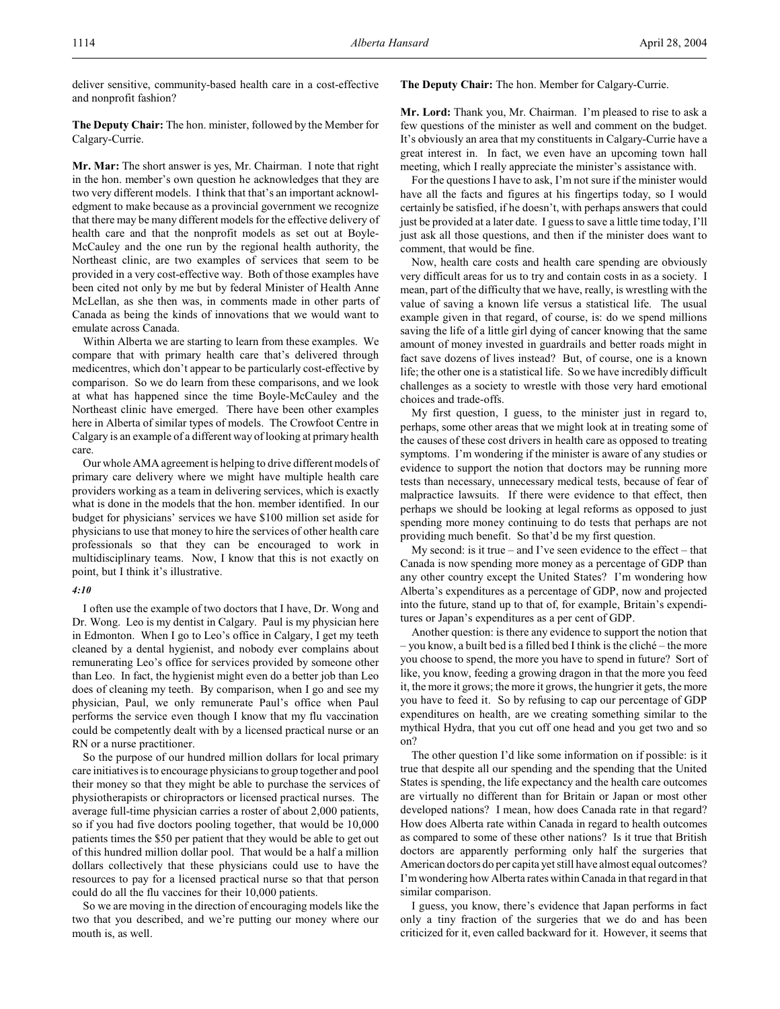deliver sensitive, community-based health care in a cost-effective and nonprofit fashion?

**The Deputy Chair:** The hon. minister, followed by the Member for Calgary-Currie.

**Mr. Mar:** The short answer is yes, Mr. Chairman. I note that right in the hon. member's own question he acknowledges that they are two very different models. I think that that's an important acknowledgment to make because as a provincial government we recognize that there may be many different models for the effective delivery of health care and that the nonprofit models as set out at Boyle-McCauley and the one run by the regional health authority, the Northeast clinic, are two examples of services that seem to be provided in a very cost-effective way. Both of those examples have been cited not only by me but by federal Minister of Health Anne McLellan, as she then was, in comments made in other parts of Canada as being the kinds of innovations that we would want to emulate across Canada.

Within Alberta we are starting to learn from these examples. We compare that with primary health care that's delivered through medicentres, which don't appear to be particularly cost-effective by comparison. So we do learn from these comparisons, and we look at what has happened since the time Boyle-McCauley and the Northeast clinic have emerged. There have been other examples here in Alberta of similar types of models. The Crowfoot Centre in Calgary is an example of a different way of looking at primary health care.

Our whole AMA agreement is helping to drive different models of primary care delivery where we might have multiple health care providers working as a team in delivering services, which is exactly what is done in the models that the hon. member identified. In our budget for physicians' services we have \$100 million set aside for physicians to use that money to hire the services of other health care professionals so that they can be encouraged to work in multidisciplinary teams. Now, I know that this is not exactly on point, but I think it's illustrative.

#### *4:10*

I often use the example of two doctors that I have, Dr. Wong and Dr. Wong. Leo is my dentist in Calgary. Paul is my physician here in Edmonton. When I go to Leo's office in Calgary, I get my teeth cleaned by a dental hygienist, and nobody ever complains about remunerating Leo's office for services provided by someone other than Leo. In fact, the hygienist might even do a better job than Leo does of cleaning my teeth. By comparison, when I go and see my physician, Paul, we only remunerate Paul's office when Paul performs the service even though I know that my flu vaccination could be competently dealt with by a licensed practical nurse or an RN or a nurse practitioner.

So the purpose of our hundred million dollars for local primary care initiatives is to encourage physicians to group together and pool their money so that they might be able to purchase the services of physiotherapists or chiropractors or licensed practical nurses. The average full-time physician carries a roster of about 2,000 patients, so if you had five doctors pooling together, that would be 10,000 patients times the \$50 per patient that they would be able to get out of this hundred million dollar pool. That would be a half a million dollars collectively that these physicians could use to have the resources to pay for a licensed practical nurse so that that person could do all the flu vaccines for their 10,000 patients.

So we are moving in the direction of encouraging models like the two that you described, and we're putting our money where our mouth is, as well.

**The Deputy Chair:** The hon. Member for Calgary-Currie.

**Mr. Lord:** Thank you, Mr. Chairman. I'm pleased to rise to ask a few questions of the minister as well and comment on the budget. It's obviously an area that my constituents in Calgary-Currie have a great interest in. In fact, we even have an upcoming town hall meeting, which I really appreciate the minister's assistance with.

For the questions I have to ask, I'm not sure if the minister would have all the facts and figures at his fingertips today, so I would certainly be satisfied, if he doesn't, with perhaps answers that could just be provided at a later date. I guess to save a little time today, I'll just ask all those questions, and then if the minister does want to comment, that would be fine.

Now, health care costs and health care spending are obviously very difficult areas for us to try and contain costs in as a society. I mean, part of the difficulty that we have, really, is wrestling with the value of saving a known life versus a statistical life. The usual example given in that regard, of course, is: do we spend millions saving the life of a little girl dying of cancer knowing that the same amount of money invested in guardrails and better roads might in fact save dozens of lives instead? But, of course, one is a known life; the other one is a statistical life. So we have incredibly difficult challenges as a society to wrestle with those very hard emotional choices and trade-offs.

My first question, I guess, to the minister just in regard to, perhaps, some other areas that we might look at in treating some of the causes of these cost drivers in health care as opposed to treating symptoms. I'm wondering if the minister is aware of any studies or evidence to support the notion that doctors may be running more tests than necessary, unnecessary medical tests, because of fear of malpractice lawsuits. If there were evidence to that effect, then perhaps we should be looking at legal reforms as opposed to just spending more money continuing to do tests that perhaps are not providing much benefit. So that'd be my first question.

My second: is it true – and I've seen evidence to the effect – that Canada is now spending more money as a percentage of GDP than any other country except the United States? I'm wondering how Alberta's expenditures as a percentage of GDP, now and projected into the future, stand up to that of, for example, Britain's expenditures or Japan's expenditures as a per cent of GDP.

Another question: is there any evidence to support the notion that  $-$  you know, a built bed is a filled bed I think is the cliché – the more you choose to spend, the more you have to spend in future? Sort of like, you know, feeding a growing dragon in that the more you feed it, the more it grows; the more it grows, the hungrier it gets, the more you have to feed it. So by refusing to cap our percentage of GDP expenditures on health, are we creating something similar to the mythical Hydra, that you cut off one head and you get two and so on?

The other question I'd like some information on if possible: is it true that despite all our spending and the spending that the United States is spending, the life expectancy and the health care outcomes are virtually no different than for Britain or Japan or most other developed nations? I mean, how does Canada rate in that regard? How does Alberta rate within Canada in regard to health outcomes as compared to some of these other nations? Is it true that British doctors are apparently performing only half the surgeries that American doctors do per capita yet still have almost equal outcomes? I'm wondering how Alberta rates within Canada in that regard in that similar comparison.

I guess, you know, there's evidence that Japan performs in fact only a tiny fraction of the surgeries that we do and has been criticized for it, even called backward for it. However, it seems that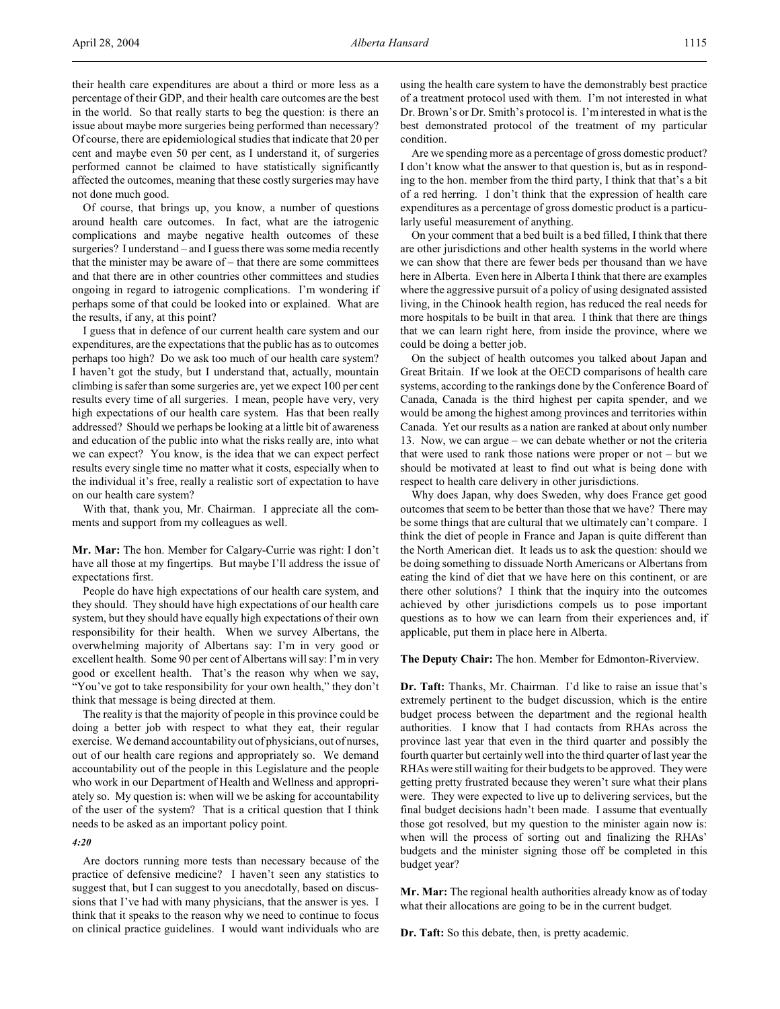their health care expenditures are about a third or more less as a percentage of their GDP, and their health care outcomes are the best in the world. So that really starts to beg the question: is there an issue about maybe more surgeries being performed than necessary? Of course, there are epidemiological studies that indicate that 20 per cent and maybe even 50 per cent, as I understand it, of surgeries performed cannot be claimed to have statistically significantly affected the outcomes, meaning that these costly surgeries may have not done much good.

Of course, that brings up, you know, a number of questions around health care outcomes. In fact, what are the iatrogenic complications and maybe negative health outcomes of these surgeries? I understand – and I guess there was some media recently that the minister may be aware of – that there are some committees and that there are in other countries other committees and studies ongoing in regard to iatrogenic complications. I'm wondering if perhaps some of that could be looked into or explained. What are the results, if any, at this point?

I guess that in defence of our current health care system and our expenditures, are the expectations that the public has as to outcomes perhaps too high? Do we ask too much of our health care system? I haven't got the study, but I understand that, actually, mountain climbing is safer than some surgeries are, yet we expect 100 per cent results every time of all surgeries. I mean, people have very, very high expectations of our health care system. Has that been really addressed? Should we perhaps be looking at a little bit of awareness and education of the public into what the risks really are, into what we can expect? You know, is the idea that we can expect perfect results every single time no matter what it costs, especially when to the individual it's free, really a realistic sort of expectation to have on our health care system?

With that, thank you, Mr. Chairman. I appreciate all the comments and support from my colleagues as well.

**Mr. Mar:** The hon. Member for Calgary-Currie was right: I don't have all those at my fingertips. But maybe I'll address the issue of expectations first.

People do have high expectations of our health care system, and they should. They should have high expectations of our health care system, but they should have equally high expectations of their own responsibility for their health. When we survey Albertans, the overwhelming majority of Albertans say: I'm in very good or excellent health. Some 90 per cent of Albertans will say: I'm in very good or excellent health. That's the reason why when we say, "You've got to take responsibility for your own health," they don't think that message is being directed at them.

The reality is that the majority of people in this province could be doing a better job with respect to what they eat, their regular exercise. We demand accountability out of physicians, out of nurses, out of our health care regions and appropriately so. We demand accountability out of the people in this Legislature and the people who work in our Department of Health and Wellness and appropriately so. My question is: when will we be asking for accountability of the user of the system? That is a critical question that I think needs to be asked as an important policy point.

#### *4:20*

Are doctors running more tests than necessary because of the practice of defensive medicine? I haven't seen any statistics to suggest that, but I can suggest to you anecdotally, based on discussions that I've had with many physicians, that the answer is yes. I think that it speaks to the reason why we need to continue to focus on clinical practice guidelines. I would want individuals who are

using the health care system to have the demonstrably best practice of a treatment protocol used with them. I'm not interested in what Dr. Brown's or Dr. Smith's protocol is. I'm interested in what is the best demonstrated protocol of the treatment of my particular condition.

Are we spending more as a percentage of gross domestic product? I don't know what the answer to that question is, but as in responding to the hon. member from the third party, I think that that's a bit of a red herring. I don't think that the expression of health care expenditures as a percentage of gross domestic product is a particularly useful measurement of anything.

On your comment that a bed built is a bed filled, I think that there are other jurisdictions and other health systems in the world where we can show that there are fewer beds per thousand than we have here in Alberta. Even here in Alberta I think that there are examples where the aggressive pursuit of a policy of using designated assisted living, in the Chinook health region, has reduced the real needs for more hospitals to be built in that area. I think that there are things that we can learn right here, from inside the province, where we could be doing a better job.

On the subject of health outcomes you talked about Japan and Great Britain. If we look at the OECD comparisons of health care systems, according to the rankings done by the Conference Board of Canada, Canada is the third highest per capita spender, and we would be among the highest among provinces and territories within Canada. Yet our results as a nation are ranked at about only number 13. Now, we can argue – we can debate whether or not the criteria that were used to rank those nations were proper or  $not - but we$ should be motivated at least to find out what is being done with respect to health care delivery in other jurisdictions.

Why does Japan, why does Sweden, why does France get good outcomes that seem to be better than those that we have? There may be some things that are cultural that we ultimately can't compare. I think the diet of people in France and Japan is quite different than the North American diet. It leads us to ask the question: should we be doing something to dissuade North Americans or Albertans from eating the kind of diet that we have here on this continent, or are there other solutions? I think that the inquiry into the outcomes achieved by other jurisdictions compels us to pose important questions as to how we can learn from their experiences and, if applicable, put them in place here in Alberta.

**The Deputy Chair:** The hon. Member for Edmonton-Riverview.

**Dr. Taft:** Thanks, Mr. Chairman. I'd like to raise an issue that's extremely pertinent to the budget discussion, which is the entire budget process between the department and the regional health authorities. I know that I had contacts from RHAs across the province last year that even in the third quarter and possibly the fourth quarter but certainly well into the third quarter of last year the RHAs were still waiting for their budgets to be approved. They were getting pretty frustrated because they weren't sure what their plans were. They were expected to live up to delivering services, but the final budget decisions hadn't been made. I assume that eventually those got resolved, but my question to the minister again now is: when will the process of sorting out and finalizing the RHAs' budgets and the minister signing those off be completed in this budget year?

**Mr. Mar:** The regional health authorities already know as of today what their allocations are going to be in the current budget.

**Dr. Taft:** So this debate, then, is pretty academic.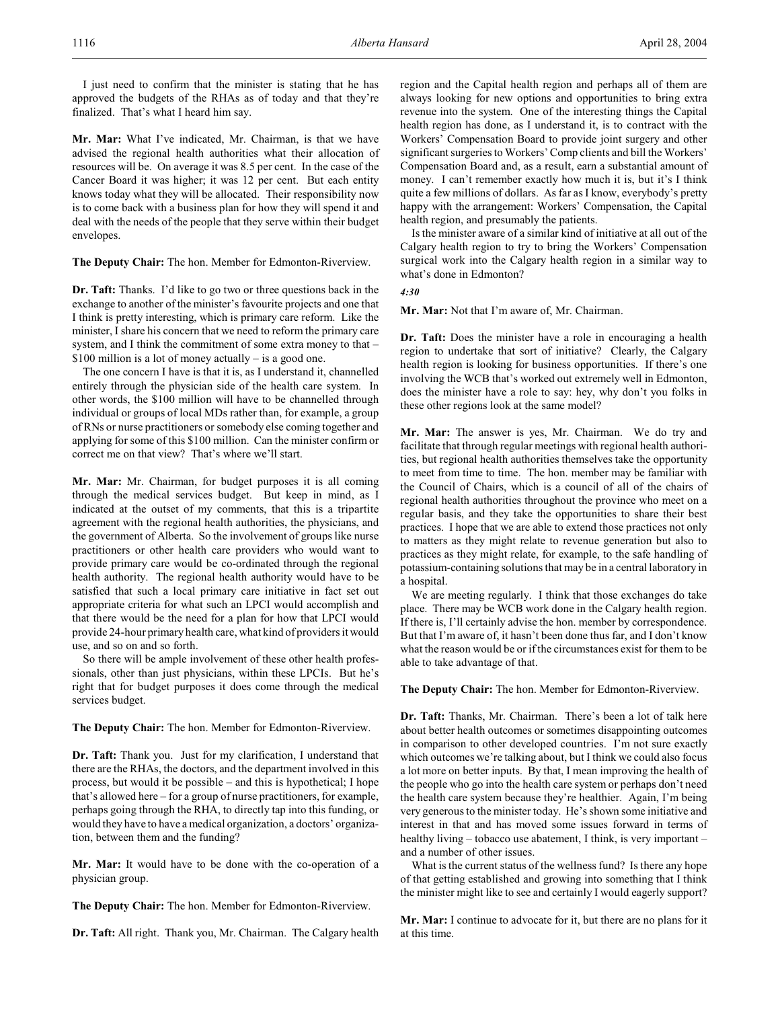I just need to confirm that the minister is stating that he has approved the budgets of the RHAs as of today and that they're finalized. That's what I heard him say.

**Mr. Mar:** What I've indicated, Mr. Chairman, is that we have advised the regional health authorities what their allocation of resources will be. On average it was 8.5 per cent. In the case of the Cancer Board it was higher; it was 12 per cent. But each entity knows today what they will be allocated. Their responsibility now is to come back with a business plan for how they will spend it and deal with the needs of the people that they serve within their budget envelopes.

**The Deputy Chair:** The hon. Member for Edmonton-Riverview.

**Dr. Taft:** Thanks. I'd like to go two or three questions back in the exchange to another of the minister's favourite projects and one that I think is pretty interesting, which is primary care reform. Like the minister, I share his concern that we need to reform the primary care system, and I think the commitment of some extra money to that – \$100 million is a lot of money actually – is a good one.

The one concern I have is that it is, as I understand it, channelled entirely through the physician side of the health care system. In other words, the \$100 million will have to be channelled through individual or groups of local MDs rather than, for example, a group of RNs or nurse practitioners or somebody else coming together and applying for some of this \$100 million. Can the minister confirm or correct me on that view? That's where we'll start.

**Mr. Mar:** Mr. Chairman, for budget purposes it is all coming through the medical services budget. But keep in mind, as I indicated at the outset of my comments, that this is a tripartite agreement with the regional health authorities, the physicians, and the government of Alberta. So the involvement of groups like nurse practitioners or other health care providers who would want to provide primary care would be co-ordinated through the regional health authority. The regional health authority would have to be satisfied that such a local primary care initiative in fact set out appropriate criteria for what such an LPCI would accomplish and that there would be the need for a plan for how that LPCI would provide 24-hour primary health care, what kind of providers it would use, and so on and so forth.

So there will be ample involvement of these other health professionals, other than just physicians, within these LPCIs. But he's right that for budget purposes it does come through the medical services budget.

**The Deputy Chair:** The hon. Member for Edmonton-Riverview.

**Dr. Taft:** Thank you. Just for my clarification, I understand that there are the RHAs, the doctors, and the department involved in this process, but would it be possible – and this is hypothetical; I hope that's allowed here – for a group of nurse practitioners, for example, perhaps going through the RHA, to directly tap into this funding, or would they have to have a medical organization, a doctors' organization, between them and the funding?

**Mr. Mar:** It would have to be done with the co-operation of a physician group.

**The Deputy Chair:** The hon. Member for Edmonton-Riverview.

**Dr. Taft:** All right. Thank you, Mr. Chairman. The Calgary health

region and the Capital health region and perhaps all of them are always looking for new options and opportunities to bring extra revenue into the system. One of the interesting things the Capital health region has done, as I understand it, is to contract with the Workers' Compensation Board to provide joint surgery and other significant surgeries to Workers' Comp clients and bill the Workers' Compensation Board and, as a result, earn a substantial amount of money. I can't remember exactly how much it is, but it's I think quite a few millions of dollars. As far as I know, everybody's pretty happy with the arrangement: Workers' Compensation, the Capital health region, and presumably the patients.

Isthe minister aware of a similar kind of initiative at all out of the Calgary health region to try to bring the Workers' Compensation surgical work into the Calgary health region in a similar way to what's done in Edmonton?

## *4:30*

**Mr. Mar:** Not that I'm aware of, Mr. Chairman.

**Dr. Taft:** Does the minister have a role in encouraging a health region to undertake that sort of initiative? Clearly, the Calgary health region is looking for business opportunities. If there's one involving the WCB that's worked out extremely well in Edmonton, does the minister have a role to say: hey, why don't you folks in these other regions look at the same model?

**Mr. Mar:** The answer is yes, Mr. Chairman. We do try and facilitate that through regular meetings with regional health authorities, but regional health authorities themselves take the opportunity to meet from time to time. The hon. member may be familiar with the Council of Chairs, which is a council of all of the chairs of regional health authorities throughout the province who meet on a regular basis, and they take the opportunities to share their best practices. I hope that we are able to extend those practices not only to matters as they might relate to revenue generation but also to practices as they might relate, for example, to the safe handling of potassium-containing solutions that may be in a central laboratory in a hospital.

We are meeting regularly. I think that those exchanges do take place. There may be WCB work done in the Calgary health region. If there is, I'll certainly advise the hon. member by correspondence. But that I'm aware of, it hasn't been done thus far, and I don't know what the reason would be or if the circumstances exist for them to be able to take advantage of that.

**The Deputy Chair:** The hon. Member for Edmonton-Riverview.

**Dr. Taft:** Thanks, Mr. Chairman. There's been a lot of talk here about better health outcomes or sometimes disappointing outcomes in comparison to other developed countries. I'm not sure exactly which outcomes we're talking about, but I think we could also focus a lot more on better inputs. By that, I mean improving the health of the people who go into the health care system or perhaps don't need the health care system because they're healthier. Again, I'm being very generous to the minister today. He's shown some initiative and interest in that and has moved some issues forward in terms of healthy living – tobacco use abatement, I think, is very important – and a number of other issues.

What is the current status of the wellness fund? Is there any hope of that getting established and growing into something that I think the minister might like to see and certainly I would eagerly support?

**Mr. Mar:** I continue to advocate for it, but there are no plans for it at this time.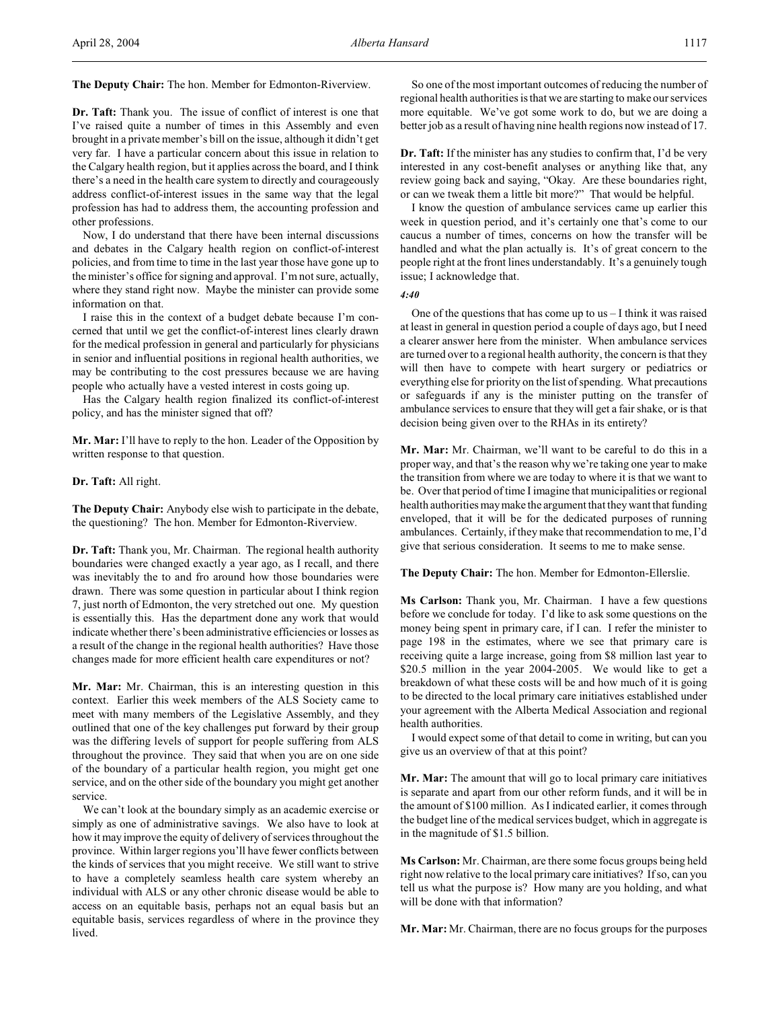**The Deputy Chair:** The hon. Member for Edmonton-Riverview.

**Dr. Taft:** Thank you. The issue of conflict of interest is one that I've raised quite a number of times in this Assembly and even brought in a private member's bill on the issue, although it didn't get very far. I have a particular concern about this issue in relation to the Calgary health region, but it applies across the board, and I think there's a need in the health care system to directly and courageously address conflict-of-interest issues in the same way that the legal profession has had to address them, the accounting profession and other professions.

Now, I do understand that there have been internal discussions and debates in the Calgary health region on conflict-of-interest policies, and from time to time in the last year those have gone up to the minister's office for signing and approval. I'm not sure, actually, where they stand right now. Maybe the minister can provide some information on that.

I raise this in the context of a budget debate because I'm concerned that until we get the conflict-of-interest lines clearly drawn for the medical profession in general and particularly for physicians in senior and influential positions in regional health authorities, we may be contributing to the cost pressures because we are having people who actually have a vested interest in costs going up.

Has the Calgary health region finalized its conflict-of-interest policy, and has the minister signed that off?

**Mr. Mar:** I'll have to reply to the hon. Leader of the Opposition by written response to that question.

#### **Dr. Taft:** All right.

**The Deputy Chair:** Anybody else wish to participate in the debate, the questioning? The hon. Member for Edmonton-Riverview.

**Dr. Taft:** Thank you, Mr. Chairman. The regional health authority boundaries were changed exactly a year ago, as I recall, and there was inevitably the to and fro around how those boundaries were drawn. There was some question in particular about I think region 7, just north of Edmonton, the very stretched out one. My question is essentially this. Has the department done any work that would indicate whether there's been administrative efficiencies or losses as a result of the change in the regional health authorities? Have those changes made for more efficient health care expenditures or not?

**Mr. Mar:** Mr. Chairman, this is an interesting question in this context. Earlier this week members of the ALS Society came to meet with many members of the Legislative Assembly, and they outlined that one of the key challenges put forward by their group was the differing levels of support for people suffering from ALS throughout the province. They said that when you are on one side of the boundary of a particular health region, you might get one service, and on the other side of the boundary you might get another service.

We can't look at the boundary simply as an academic exercise or simply as one of administrative savings. We also have to look at how it may improve the equity of delivery of services throughout the province. Within larger regions you'll have fewer conflicts between the kinds of services that you might receive. We still want to strive to have a completely seamless health care system whereby an individual with ALS or any other chronic disease would be able to access on an equitable basis, perhaps not an equal basis but an equitable basis, services regardless of where in the province they **lived** 

So one of the most important outcomes of reducing the number of regional health authorities is that we are starting to make our services more equitable. We've got some work to do, but we are doing a better job as a result of having nine health regions now instead of 17.

**Dr. Taft:** If the minister has any studies to confirm that, I'd be very interested in any cost-benefit analyses or anything like that, any review going back and saying, "Okay. Are these boundaries right, or can we tweak them a little bit more?" That would be helpful.

I know the question of ambulance services came up earlier this week in question period, and it's certainly one that's come to our caucus a number of times, concerns on how the transfer will be handled and what the plan actually is. It's of great concern to the people right at the front lines understandably. It's a genuinely tough issue; I acknowledge that.

*4:40*

One of the questions that has come up to  $us - I$  think it was raised at least in general in question period a couple of days ago, but I need a clearer answer here from the minister. When ambulance services are turned over to a regional health authority, the concern is that they will then have to compete with heart surgery or pediatrics or everything else for priority on the list of spending. What precautions or safeguards if any is the minister putting on the transfer of ambulance services to ensure that they will get a fair shake, or is that decision being given over to the RHAs in its entirety?

**Mr. Mar:** Mr. Chairman, we'll want to be careful to do this in a proper way, and that's the reason why we're taking one year to make the transition from where we are today to where it is that we want to be. Over that period of time I imagine that municipalities or regional health authorities may make the argument that they want that funding enveloped, that it will be for the dedicated purposes of running ambulances. Certainly, if they make that recommendation to me, I'd give that serious consideration. It seems to me to make sense.

**The Deputy Chair:** The hon. Member for Edmonton-Ellerslie.

**Ms Carlson:** Thank you, Mr. Chairman. I have a few questions before we conclude for today. I'd like to ask some questions on the money being spent in primary care, if I can. I refer the minister to page 198 in the estimates, where we see that primary care is receiving quite a large increase, going from \$8 million last year to \$20.5 million in the year 2004-2005. We would like to get a breakdown of what these costs will be and how much of it is going to be directed to the local primary care initiatives established under your agreement with the Alberta Medical Association and regional health authorities.

I would expect some of that detail to come in writing, but can you give us an overview of that at this point?

**Mr. Mar:** The amount that will go to local primary care initiatives is separate and apart from our other reform funds, and it will be in the amount of \$100 million. As I indicated earlier, it comes through the budget line of the medical services budget, which in aggregate is in the magnitude of \$1.5 billion.

**Ms Carlson:** Mr. Chairman, are there some focus groups being held right now relative to the local primary care initiatives? Ifso, can you tell us what the purpose is? How many are you holding, and what will be done with that information?

**Mr. Mar:** Mr. Chairman, there are no focus groups for the purposes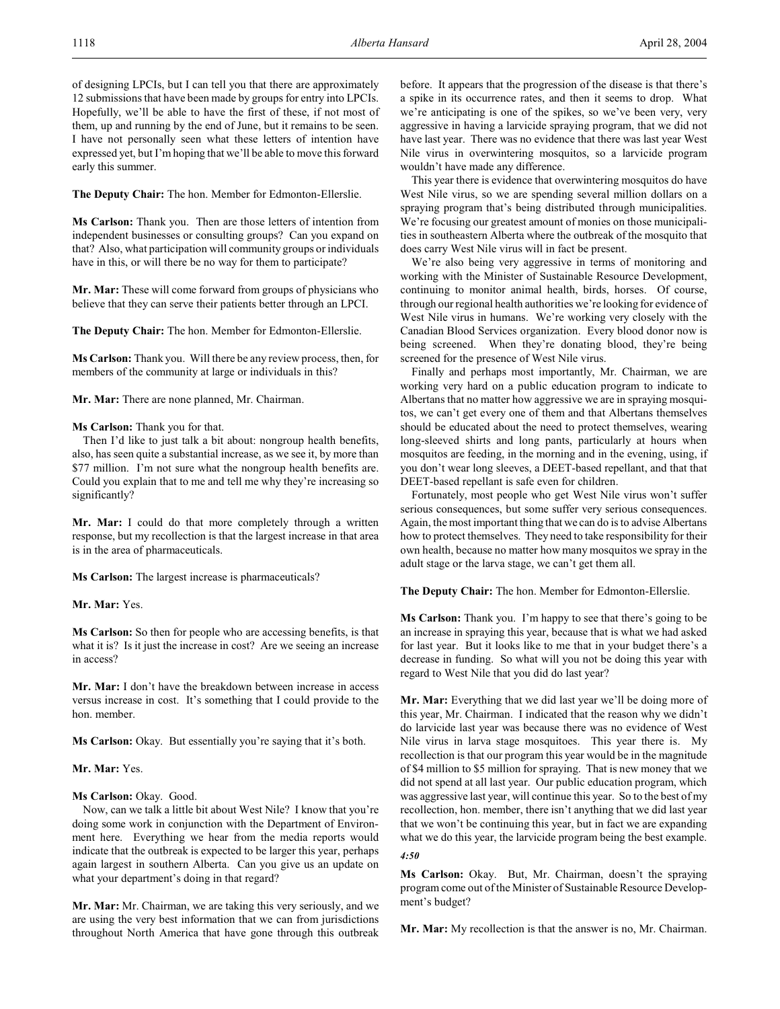of designing LPCIs, but I can tell you that there are approximately 12 submissions that have been made by groups for entry into LPCIs. Hopefully, we'll be able to have the first of these, if not most of them, up and running by the end of June, but it remains to be seen. I have not personally seen what these letters of intention have expressed yet, but I'm hoping that we'll be able to move this forward early this summer.

**The Deputy Chair:** The hon. Member for Edmonton-Ellerslie.

**Ms Carlson:** Thank you. Then are those letters of intention from independent businesses or consulting groups? Can you expand on that? Also, what participation will community groups or individuals have in this, or will there be no way for them to participate?

**Mr. Mar:** These will come forward from groups of physicians who believe that they can serve their patients better through an LPCI.

**The Deputy Chair:** The hon. Member for Edmonton-Ellerslie.

**Ms Carlson:** Thank you. Will there be any review process, then, for members of the community at large or individuals in this?

**Mr. Mar:** There are none planned, Mr. Chairman.

#### **Ms Carlson:** Thank you for that.

Then I'd like to just talk a bit about: nongroup health benefits, also, has seen quite a substantial increase, as we see it, by more than \$77 million. I'm not sure what the nongroup health benefits are. Could you explain that to me and tell me why they're increasing so significantly?

**Mr. Mar:** I could do that more completely through a written response, but my recollection is that the largest increase in that area is in the area of pharmaceuticals.

**Ms Carlson:** The largest increase is pharmaceuticals?

**Mr. Mar:** Yes.

**Ms Carlson:** So then for people who are accessing benefits, is that what it is? Is it just the increase in cost? Are we seeing an increase in access?

**Mr. Mar:** I don't have the breakdown between increase in access versus increase in cost. It's something that I could provide to the hon. member.

**Ms Carlson:** Okay. But essentially you're saying that it's both.

#### **Mr. Mar:** Yes.

### **Ms Carlson:** Okay. Good.

Now, can we talk a little bit about West Nile? I know that you're doing some work in conjunction with the Department of Environment here. Everything we hear from the media reports would indicate that the outbreak is expected to be larger this year, perhaps again largest in southern Alberta. Can you give us an update on what your department's doing in that regard?

**Mr. Mar:** Mr. Chairman, we are taking this very seriously, and we are using the very best information that we can from jurisdictions throughout North America that have gone through this outbreak

before. It appears that the progression of the disease is that there's a spike in its occurrence rates, and then it seems to drop. What we're anticipating is one of the spikes, so we've been very, very aggressive in having a larvicide spraying program, that we did not have last year. There was no evidence that there was last year West Nile virus in overwintering mosquitos, so a larvicide program wouldn't have made any difference.

This year there is evidence that overwintering mosquitos do have West Nile virus, so we are spending several million dollars on a spraying program that's being distributed through municipalities. We're focusing our greatest amount of monies on those municipalities in southeastern Alberta where the outbreak of the mosquito that does carry West Nile virus will in fact be present.

We're also being very aggressive in terms of monitoring and working with the Minister of Sustainable Resource Development, continuing to monitor animal health, birds, horses. Of course, through our regional health authorities we're looking for evidence of West Nile virus in humans. We're working very closely with the Canadian Blood Services organization. Every blood donor now is being screened. When they're donating blood, they're being screened for the presence of West Nile virus.

Finally and perhaps most importantly, Mr. Chairman, we are working very hard on a public education program to indicate to Albertans that no matter how aggressive we are in spraying mosquitos, we can't get every one of them and that Albertans themselves should be educated about the need to protect themselves, wearing long-sleeved shirts and long pants, particularly at hours when mosquitos are feeding, in the morning and in the evening, using, if you don't wear long sleeves, a DEET-based repellant, and that that DEET-based repellant is safe even for children.

Fortunately, most people who get West Nile virus won't suffer serious consequences, but some suffer very serious consequences. Again, the most important thing that we can do is to advise Albertans how to protect themselves. They need to take responsibility for their own health, because no matter how many mosquitos we spray in the adult stage or the larva stage, we can't get them all.

**The Deputy Chair:** The hon. Member for Edmonton-Ellerslie.

**Ms Carlson:** Thank you. I'm happy to see that there's going to be an increase in spraying this year, because that is what we had asked for last year. But it looks like to me that in your budget there's a decrease in funding. So what will you not be doing this year with regard to West Nile that you did do last year?

**Mr. Mar:** Everything that we did last year we'll be doing more of this year, Mr. Chairman. I indicated that the reason why we didn't do larvicide last year was because there was no evidence of West Nile virus in larva stage mosquitoes. This year there is. My recollection is that our program this year would be in the magnitude of \$4 million to \$5 million for spraying. That is new money that we did not spend at all last year. Our public education program, which was aggressive last year, will continue this year. So to the best of my recollection, hon. member, there isn't anything that we did last year that we won't be continuing this year, but in fact we are expanding what we do this year, the larvicide program being the best example.

*4:50*

**Ms Carlson:** Okay. But, Mr. Chairman, doesn't the spraying program come out of the Minister of Sustainable Resource Development's budget?

**Mr. Mar:** My recollection is that the answer is no, Mr. Chairman.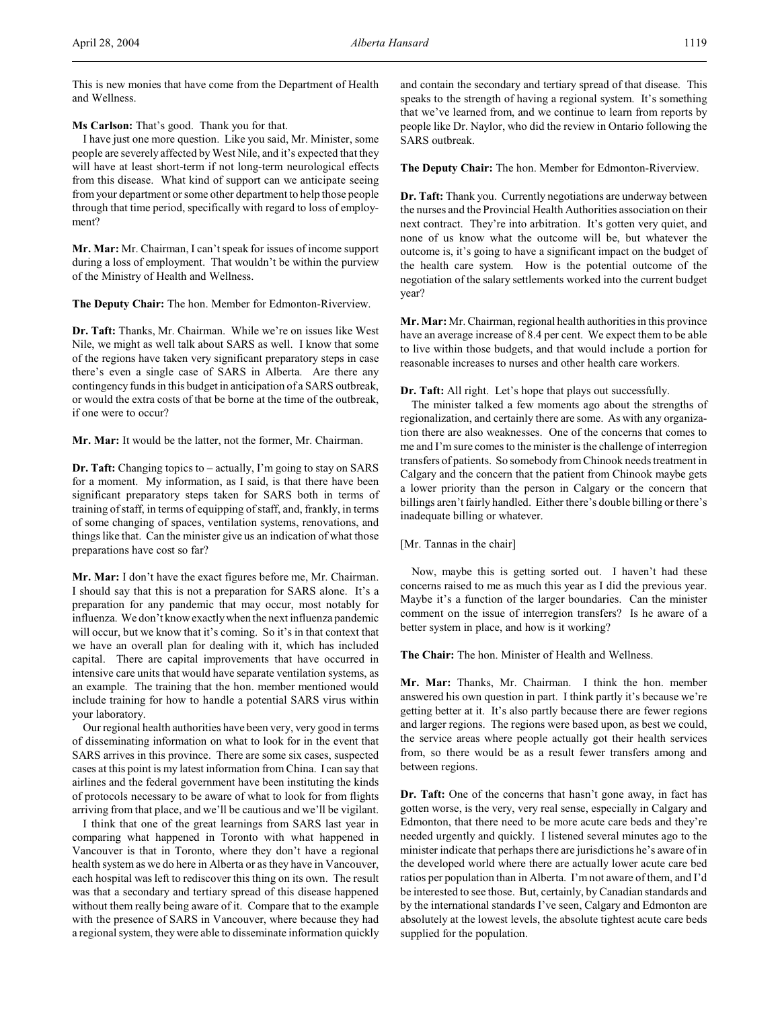This is new monies that have come from the Department of Health and Wellness.

**Ms Carlson:** That's good. Thank you for that.

I have just one more question. Like you said, Mr. Minister, some people are severely affected by West Nile, and it's expected that they will have at least short-term if not long-term neurological effects from this disease. What kind of support can we anticipate seeing from your department or some other department to help those people through that time period, specifically with regard to loss of employment?

**Mr. Mar:** Mr. Chairman, I can't speak for issues of income support during a loss of employment. That wouldn't be within the purview of the Ministry of Health and Wellness.

**The Deputy Chair:** The hon. Member for Edmonton-Riverview.

**Dr. Taft:** Thanks, Mr. Chairman. While we're on issues like West Nile, we might as well talk about SARS as well. I know that some of the regions have taken very significant preparatory steps in case there's even a single case of SARS in Alberta. Are there any contingency funds in this budget in anticipation of a SARS outbreak, or would the extra costs of that be borne at the time of the outbreak, if one were to occur?

**Mr. Mar:** It would be the latter, not the former, Mr. Chairman.

**Dr. Taft:** Changing topics to – actually, I'm going to stay on SARS for a moment. My information, as I said, is that there have been significant preparatory steps taken for SARS both in terms of training of staff, in terms of equipping of staff, and, frankly, in terms of some changing of spaces, ventilation systems, renovations, and things like that. Can the minister give us an indication of what those preparations have cost so far?

**Mr. Mar:** I don't have the exact figures before me, Mr. Chairman. I should say that this is not a preparation for SARS alone. It's a preparation for any pandemic that may occur, most notably for influenza. We don't knowexactlywhen the next influenza pandemic will occur, but we know that it's coming. So it's in that context that we have an overall plan for dealing with it, which has included capital. There are capital improvements that have occurred in intensive care units that would have separate ventilation systems, as an example. The training that the hon. member mentioned would include training for how to handle a potential SARS virus within your laboratory.

Our regional health authorities have been very, very good in terms of disseminating information on what to look for in the event that SARS arrives in this province. There are some six cases, suspected cases at this point is my latest information from China. I can say that airlines and the federal government have been instituting the kinds of protocols necessary to be aware of what to look for from flights arriving from that place, and we'll be cautious and we'll be vigilant.

I think that one of the great learnings from SARS last year in comparing what happened in Toronto with what happened in Vancouver is that in Toronto, where they don't have a regional health system as we do here in Alberta or as they have in Vancouver, each hospital wasleft to rediscover this thing on its own. The result was that a secondary and tertiary spread of this disease happened without them really being aware of it. Compare that to the example with the presence of SARS in Vancouver, where because they had a regional system, they were able to disseminate information quickly and contain the secondary and tertiary spread of that disease. This speaks to the strength of having a regional system. It's something that we've learned from, and we continue to learn from reports by people like Dr. Naylor, who did the review in Ontario following the SARS outbreak.

**The Deputy Chair:** The hon. Member for Edmonton-Riverview.

**Dr. Taft:** Thank you. Currently negotiations are underway between the nurses and the Provincial Health Authorities association on their next contract. They're into arbitration. It's gotten very quiet, and none of us know what the outcome will be, but whatever the outcome is, it's going to have a significant impact on the budget of the health care system. How is the potential outcome of the negotiation of the salary settlements worked into the current budget year?

**Mr. Mar:** Mr. Chairman, regional health authorities in this province have an average increase of 8.4 per cent. We expect them to be able to live within those budgets, and that would include a portion for reasonable increases to nurses and other health care workers.

## **Dr. Taft:** All right. Let's hope that plays out successfully.

The minister talked a few moments ago about the strengths of regionalization, and certainly there are some. As with any organization there are also weaknesses. One of the concerns that comes to me and I'm sure comes to the minister is the challenge of interregion transfers of patients. So somebody from Chinook needs treatment in Calgary and the concern that the patient from Chinook maybe gets a lower priority than the person in Calgary or the concern that billings aren't fairly handled. Either there's double billing or there's inadequate billing or whatever.

[Mr. Tannas in the chair]

Now, maybe this is getting sorted out. I haven't had these concerns raised to me as much this year as I did the previous year. Maybe it's a function of the larger boundaries. Can the minister comment on the issue of interregion transfers? Is he aware of a better system in place, and how is it working?

**The Chair:** The hon. Minister of Health and Wellness.

**Mr. Mar:** Thanks, Mr. Chairman. I think the hon. member answered his own question in part. I think partly it's because we're getting better at it. It's also partly because there are fewer regions and larger regions. The regions were based upon, as best we could, the service areas where people actually got their health services from, so there would be as a result fewer transfers among and between regions.

**Dr. Taft:** One of the concerns that hasn't gone away, in fact has gotten worse, is the very, very real sense, especially in Calgary and Edmonton, that there need to be more acute care beds and they're needed urgently and quickly. I listened several minutes ago to the minister indicate that perhaps there are jurisdictions he's aware of in the developed world where there are actually lower acute care bed ratios per population than in Alberta. I'm not aware of them, and I'd be interested to see those. But, certainly, by Canadian standards and by the international standards I've seen, Calgary and Edmonton are absolutely at the lowest levels, the absolute tightest acute care beds supplied for the population.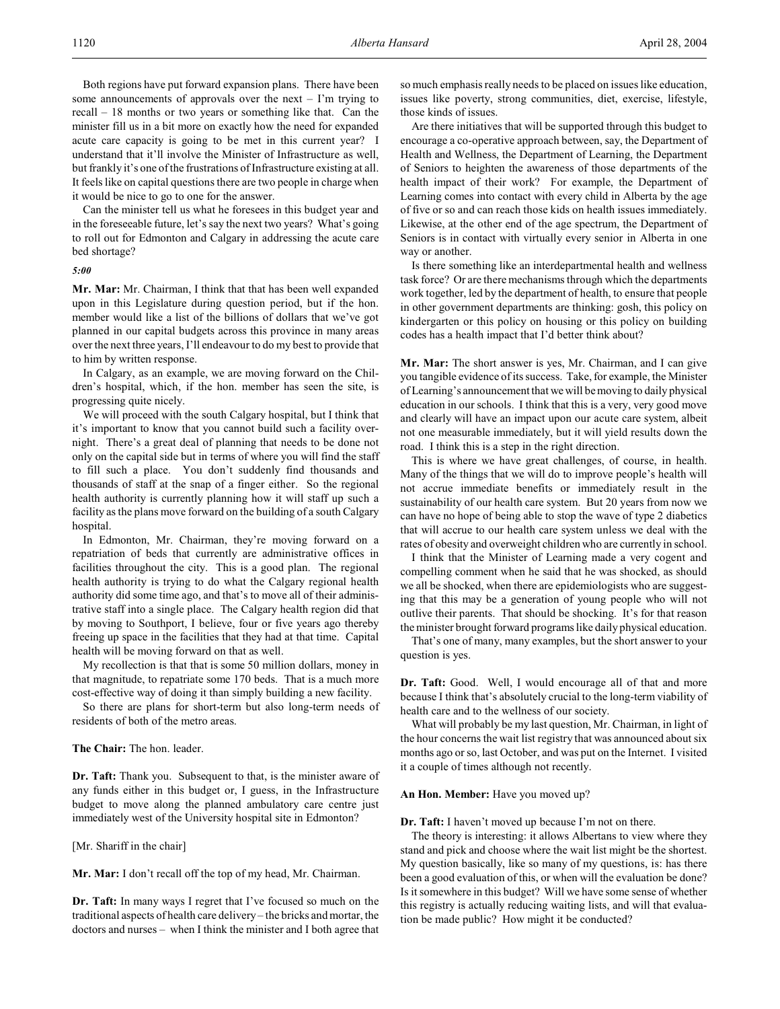Can the minister tell us what he foresees in this budget year and in the foreseeable future, let's say the next two years? What's going to roll out for Edmonton and Calgary in addressing the acute care bed shortage?

#### *5:00*

**Mr. Mar:** Mr. Chairman, I think that that has been well expanded upon in this Legislature during question period, but if the hon. member would like a list of the billions of dollars that we've got planned in our capital budgets across this province in many areas over the next three years, I'll endeavour to do my best to provide that to him by written response.

In Calgary, as an example, we are moving forward on the Children's hospital, which, if the hon. member has seen the site, is progressing quite nicely.

We will proceed with the south Calgary hospital, but I think that it's important to know that you cannot build such a facility overnight. There's a great deal of planning that needs to be done not only on the capital side but in terms of where you will find the staff to fill such a place. You don't suddenly find thousands and thousands of staff at the snap of a finger either. So the regional health authority is currently planning how it will staff up such a facility as the plans move forward on the building of a south Calgary hospital.

In Edmonton, Mr. Chairman, they're moving forward on a repatriation of beds that currently are administrative offices in facilities throughout the city. This is a good plan. The regional health authority is trying to do what the Calgary regional health authority did some time ago, and that's to move all of their administrative staff into a single place. The Calgary health region did that by moving to Southport, I believe, four or five years ago thereby freeing up space in the facilities that they had at that time. Capital health will be moving forward on that as well.

My recollection is that that is some 50 million dollars, money in that magnitude, to repatriate some 170 beds. That is a much more cost-effective way of doing it than simply building a new facility.

So there are plans for short-term but also long-term needs of residents of both of the metro areas.

## **The Chair:** The hon. leader.

**Dr. Taft:** Thank you. Subsequent to that, is the minister aware of any funds either in this budget or, I guess, in the Infrastructure budget to move along the planned ambulatory care centre just immediately west of the University hospital site in Edmonton?

[Mr. Shariff in the chair]

**Mr. Mar:** I don't recall off the top of my head, Mr. Chairman.

**Dr. Taft:** In many ways I regret that I've focused so much on the traditional aspects of health care delivery – the bricks and mortar, the doctors and nurses – when I think the minister and I both agree that

so much emphasis really needs to be placed on issues like education, issues like poverty, strong communities, diet, exercise, lifestyle, those kinds of issues.

Are there initiatives that will be supported through this budget to encourage a co-operative approach between, say, the Department of Health and Wellness, the Department of Learning, the Department of Seniors to heighten the awareness of those departments of the health impact of their work? For example, the Department of Learning comes into contact with every child in Alberta by the age of five or so and can reach those kids on health issues immediately. Likewise, at the other end of the age spectrum, the Department of Seniors is in contact with virtually every senior in Alberta in one way or another.

Is there something like an interdepartmental health and wellness task force? Or are there mechanisms through which the departments work together, led by the department of health, to ensure that people in other government departments are thinking: gosh, this policy on kindergarten or this policy on housing or this policy on building codes has a health impact that I'd better think about?

**Mr. Mar:** The short answer is yes, Mr. Chairman, and I can give you tangible evidence of its success. Take, for example, the Minister of Learning's announcement that we will be moving to daily physical education in our schools. I think that this is a very, very good move and clearly will have an impact upon our acute care system, albeit not one measurable immediately, but it will yield results down the road. I think this is a step in the right direction.

This is where we have great challenges, of course, in health. Many of the things that we will do to improve people's health will not accrue immediate benefits or immediately result in the sustainability of our health care system. But 20 years from now we can have no hope of being able to stop the wave of type 2 diabetics that will accrue to our health care system unless we deal with the rates of obesity and overweight children who are currently in school.

I think that the Minister of Learning made a very cogent and compelling comment when he said that he was shocked, as should we all be shocked, when there are epidemiologists who are suggesting that this may be a generation of young people who will not outlive their parents. That should be shocking. It's for that reason the minister brought forward programs like daily physical education.

That's one of many, many examples, but the short answer to your question is yes.

**Dr. Taft:** Good. Well, I would encourage all of that and more because I think that's absolutely crucial to the long-term viability of health care and to the wellness of our society.

What will probably be my last question, Mr. Chairman, in light of the hour concerns the wait list registry that was announced about six months ago or so, last October, and was put on the Internet. I visited it a couple of times although not recently.

#### **An Hon. Member:** Have you moved up?

**Dr. Taft:** I haven't moved up because I'm not on there.

The theory is interesting: it allows Albertans to view where they stand and pick and choose where the wait list might be the shortest. My question basically, like so many of my questions, is: has there been a good evaluation of this, or when will the evaluation be done? Is it somewhere in this budget? Will we have some sense of whether this registry is actually reducing waiting lists, and will that evaluation be made public? How might it be conducted?